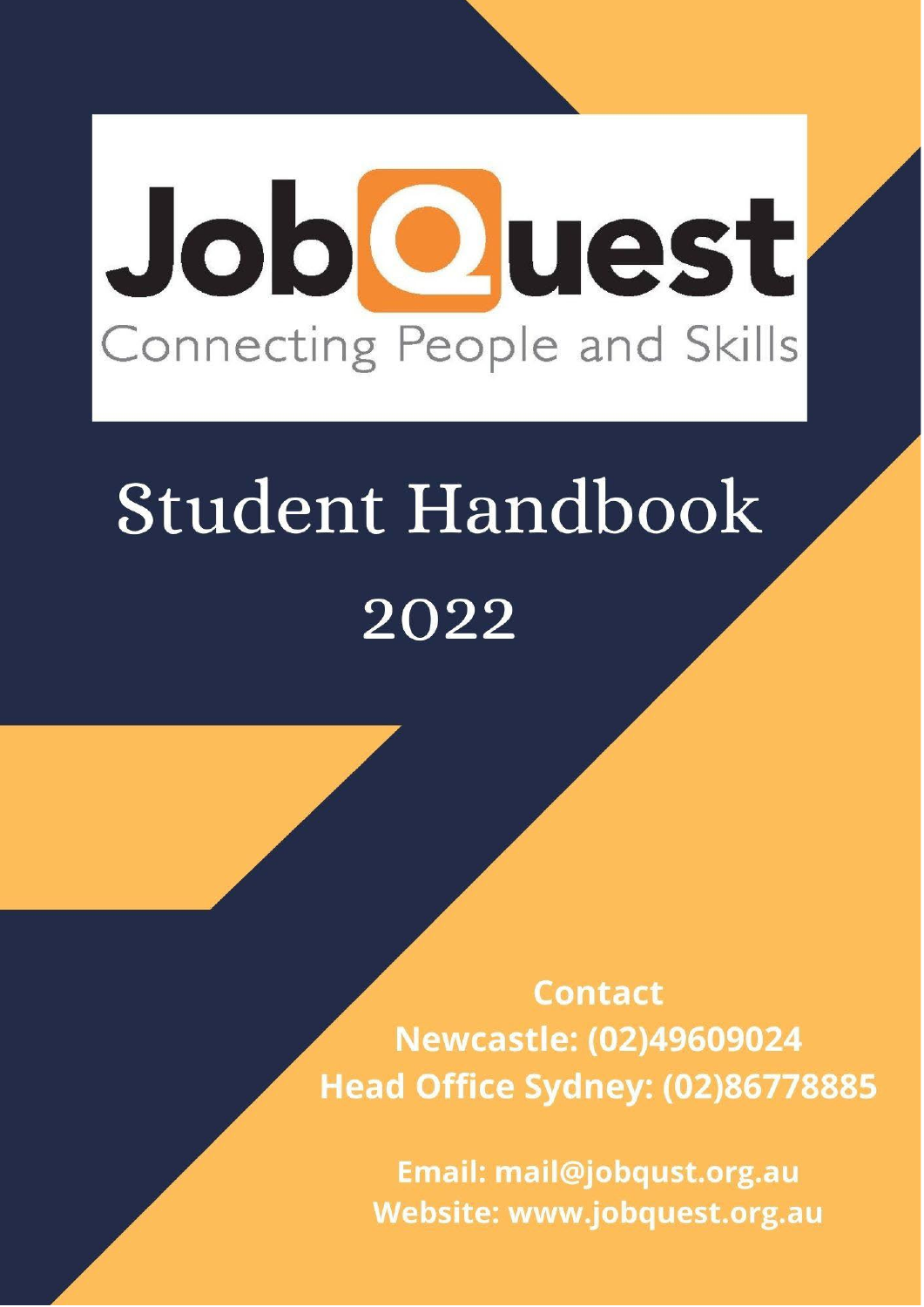# JobCuest Connecting People and Skills

# Student Handbook 2022

**Contact** Newcastle: (02)49609024 **Head Office Sydney: (02)86778885** 

Email: mail@jobqust.org.au Website: www.jobquest.org.au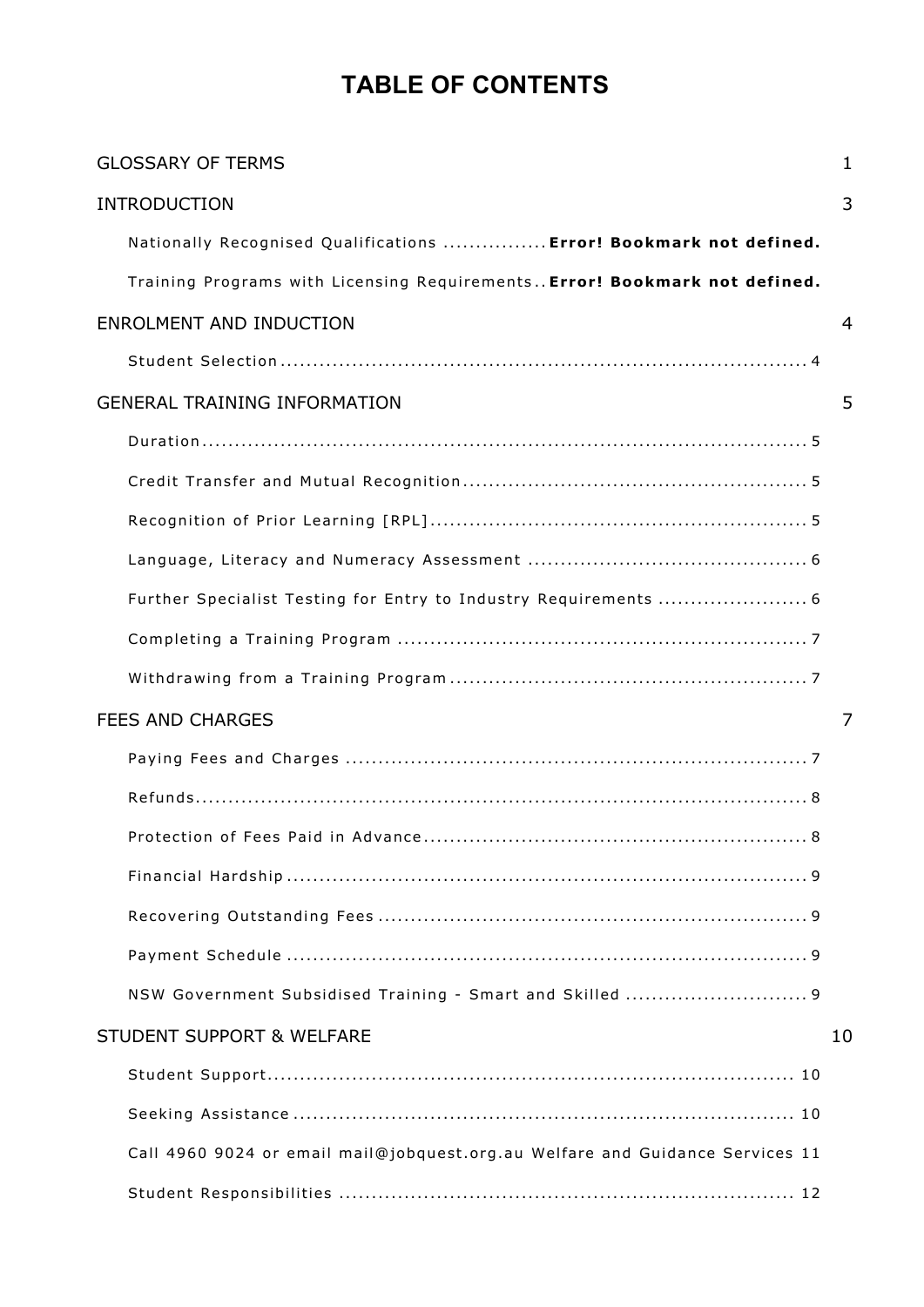# **TABLE OF CONTENTS**

| <b>GLOSSARY OF TERMS</b>                                                      | 1  |
|-------------------------------------------------------------------------------|----|
| <b>INTRODUCTION</b>                                                           | 3  |
| Nationally Recognised Qualifications  Error! Bookmark not defined.            |    |
| Training Programs with Licensing Requirements Error! Bookmark not defined.    |    |
| ENROLMENT AND INDUCTION                                                       | 4  |
|                                                                               |    |
| <b>GENERAL TRAINING INFORMATION</b>                                           | 5  |
|                                                                               |    |
|                                                                               |    |
|                                                                               |    |
|                                                                               |    |
|                                                                               |    |
|                                                                               |    |
|                                                                               |    |
| <b>FEES AND CHARGES</b>                                                       | 7  |
|                                                                               |    |
|                                                                               |    |
|                                                                               |    |
|                                                                               |    |
|                                                                               |    |
|                                                                               |    |
| NSW Government Subsidised Training - Smart and Skilled  9                     |    |
| <b>STUDENT SUPPORT &amp; WELFARE</b>                                          | 10 |
|                                                                               |    |
|                                                                               |    |
| Call 4960 9024 or email mail@jobquest.org.au Welfare and Guidance Services 11 |    |
|                                                                               |    |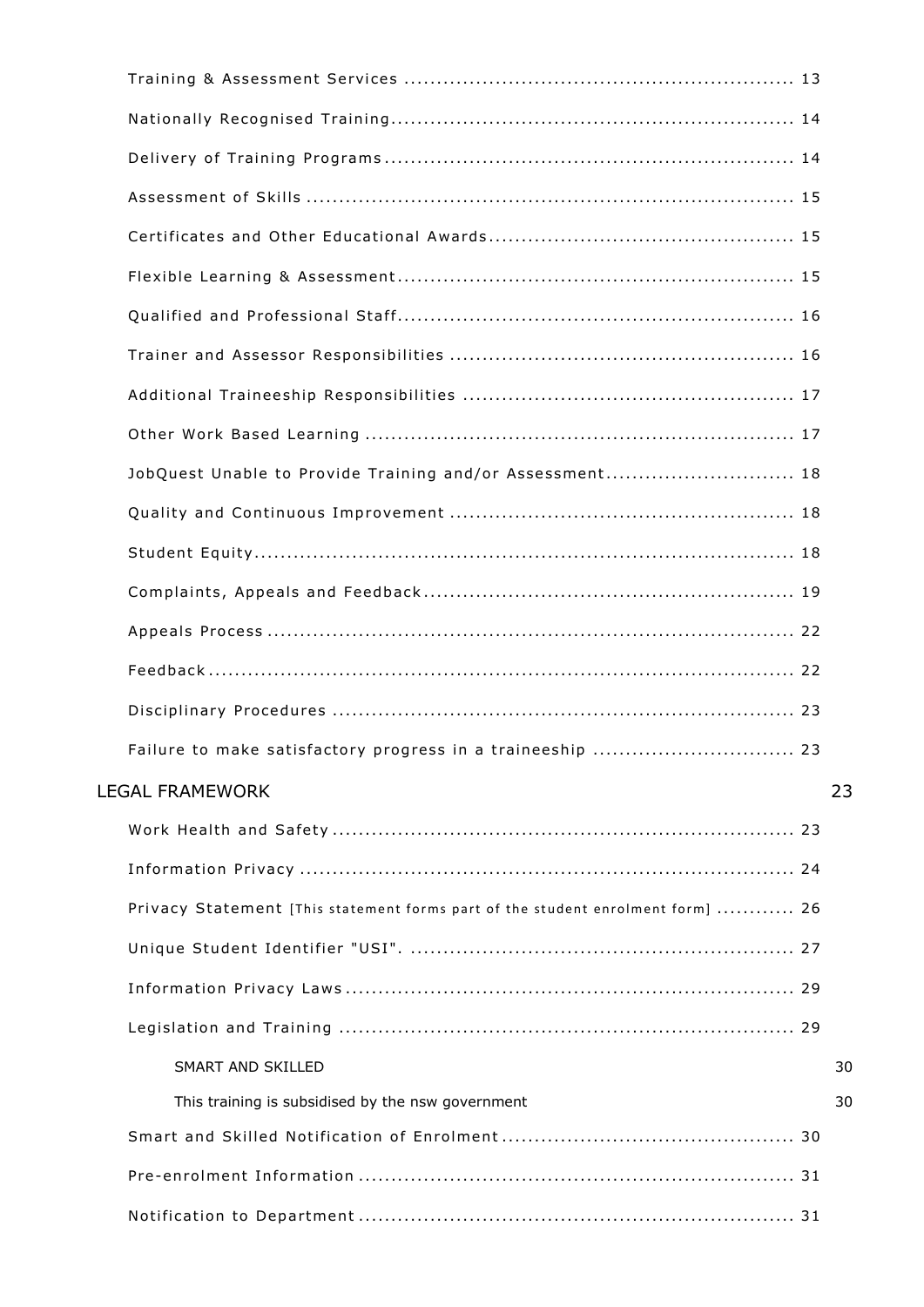| JobQuest Unable to Provide Training and/or Assessment 18                        |    |
|---------------------------------------------------------------------------------|----|
|                                                                                 |    |
|                                                                                 |    |
|                                                                                 |    |
|                                                                                 |    |
|                                                                                 |    |
|                                                                                 |    |
| Failure to make satisfactory progress in a traineeship  23                      |    |
| <b>LEGAL FRAMEWORK</b>                                                          | 23 |
|                                                                                 |    |
|                                                                                 |    |
| Privacy Statement [This statement forms part of the student enrolment form]  26 |    |
|                                                                                 |    |
|                                                                                 |    |
|                                                                                 |    |
| <b>SMART AND SKILLED</b>                                                        | 30 |
| This training is subsidised by the nsw government                               | 30 |
|                                                                                 |    |
|                                                                                 |    |
|                                                                                 |    |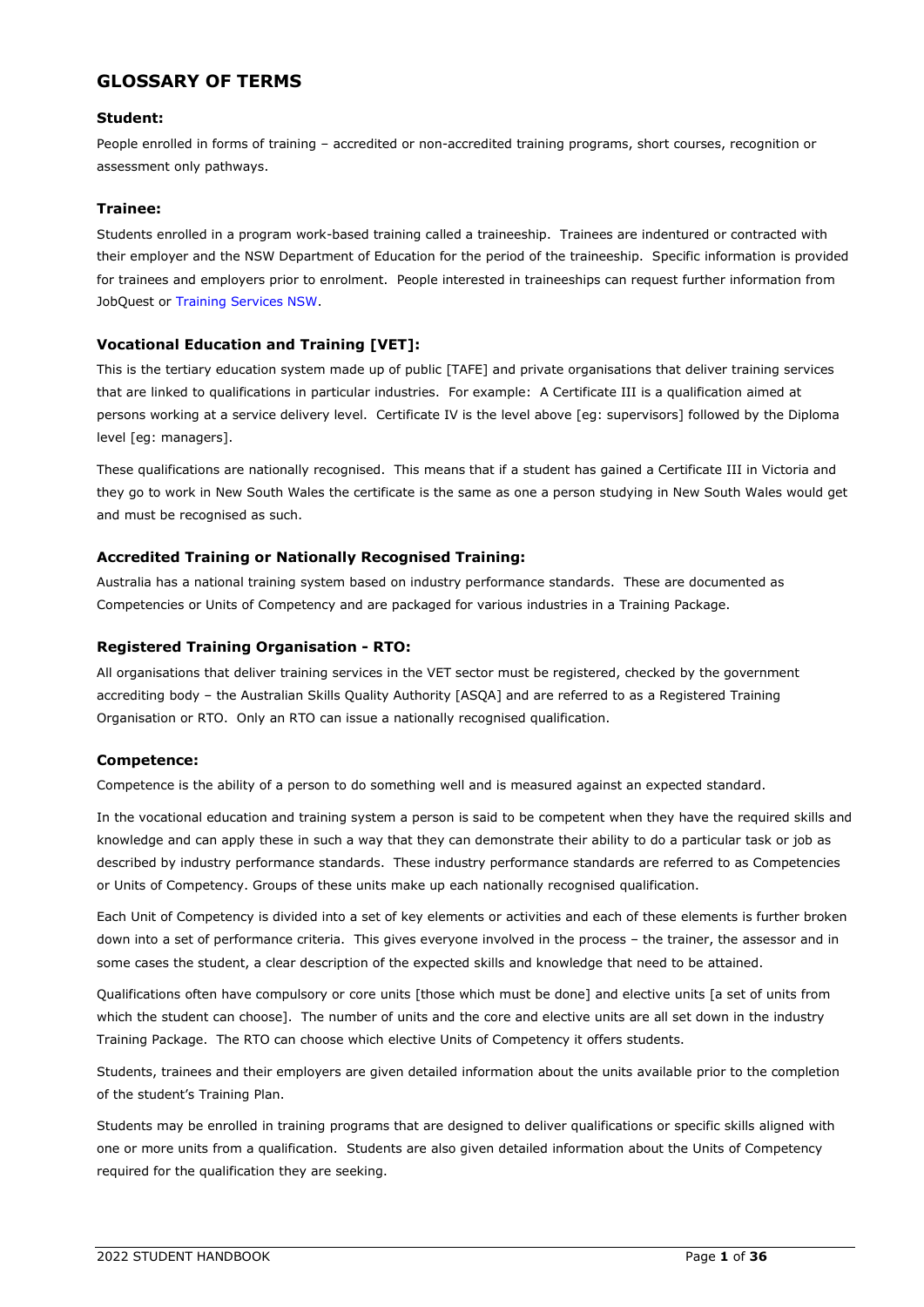## <span id="page-4-0"></span>**GLOSSARY OF TERMS**

#### **Student:**

People enrolled in forms of training – accredited or non-accredited training programs, short courses, recognition or assessment only pathways.

#### **Trainee:**

Students enrolled in a program work-based training called a traineeship. Trainees are indentured or contracted with their employer and the NSW Department of Education for the period of the traineeship. Specific information is provided for trainees and employers prior to enrolment. People interested in traineeships can request further information from JobQuest or [Training Services NSW.](https://www.training.nsw.gov.au/apprenticeships_traineeships/employers/index.html)

#### **Vocational Education and Training [VET]:**

This is the tertiary education system made up of public [TAFE] and private organisations that deliver training services that are linked to qualifications in particular industries. For example: A Certificate III is a qualification aimed at persons working at a service delivery level. Certificate IV is the level above [eg: supervisors] followed by the Diploma level [eg: managers].

These qualifications are nationally recognised. This means that if a student has gained a Certificate III in Victoria and they go to work in New South Wales the certificate is the same as one a person studying in New South Wales would get and must be recognised as such.

#### **Accredited Training or Nationally Recognised Training:**

Australia has a national training system based on industry performance standards. These are documented as Competencies or Units of Competency and are packaged for various industries in a Training Package.

#### **Registered Training Organisation - RTO:**

All organisations that deliver training services in the VET sector must be registered, checked by the government accrediting body – the Australian Skills Quality Authority [ASQA] and are referred to as a Registered Training Organisation or RTO. Only an RTO can issue a nationally recognised qualification.

#### **Competence:**

Competence is the ability of a person to do something well and is measured against an expected standard.

In the vocational education and training system a person is said to be competent when they have the required skills and knowledge and can apply these in such a way that they can demonstrate their ability to do a particular task or job as described by industry performance standards. These industry performance standards are referred to as Competencies or Units of Competency. Groups of these units make up each nationally recognised qualification.

Each Unit of Competency is divided into a set of key elements or activities and each of these elements is further broken down into a set of performance criteria. This gives everyone involved in the process – the trainer, the assessor and in some cases the student, a clear description of the expected skills and knowledge that need to be attained.

Qualifications often have compulsory or core units [those which must be done] and elective units [a set of units from which the student can choose]. The number of units and the core and elective units are all set down in the industry Training Package. The RTO can choose which elective Units of Competency it offers students.

Students, trainees and their employers are given detailed information about the units available prior to the completion of the student's Training Plan.

Students may be enrolled in training programs that are designed to deliver qualifications or specific skills aligned with one or more units from a qualification. Students are also given detailed information about the Units of Competency required for the qualification they are seeking.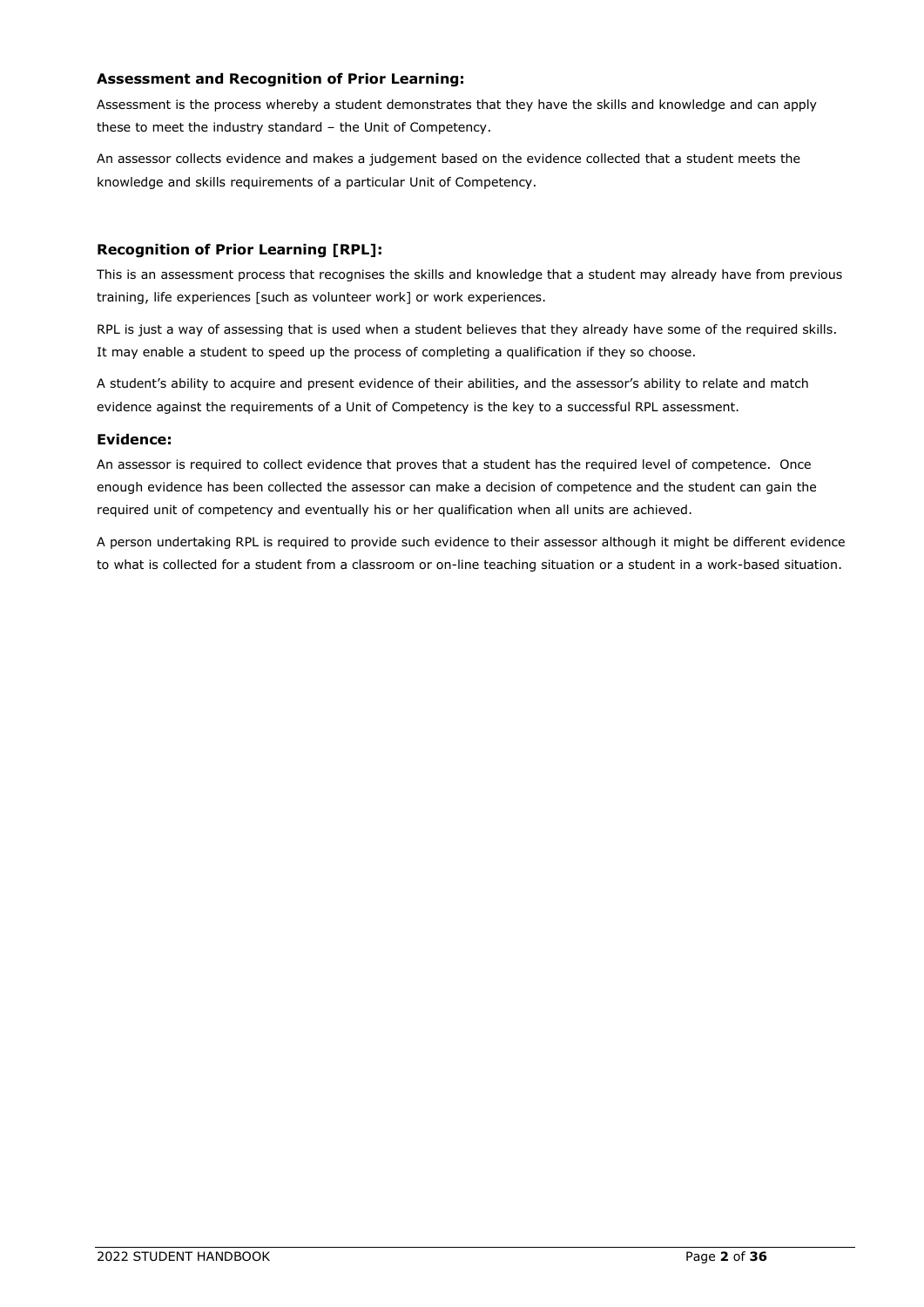#### **Assessment and Recognition of Prior Learning:**

Assessment is the process whereby a student demonstrates that they have the skills and knowledge and can apply these to meet the industry standard – the Unit of Competency.

An assessor collects evidence and makes a judgement based on the evidence collected that a student meets the knowledge and skills requirements of a particular Unit of Competency.

#### **Recognition of Prior Learning [RPL]:**

This is an assessment process that recognises the skills and knowledge that a student may already have from previous training, life experiences [such as volunteer work] or work experiences.

RPL is just a way of assessing that is used when a student believes that they already have some of the required skills. It may enable a student to speed up the process of completing a qualification if they so choose.

A student's ability to acquire and present evidence of their abilities, and the assessor's ability to relate and match evidence against the requirements of a Unit of Competency is the key to a successful RPL assessment.

#### **Evidence:**

An assessor is required to collect evidence that proves that a student has the required level of competence. Once enough evidence has been collected the assessor can make a decision of competence and the student can gain the required unit of competency and eventually his or her qualification when all units are achieved.

A person undertaking RPL is required to provide such evidence to their assessor although it might be different evidence to what is collected for a student from a classroom or on-line teaching situation or a student in a work-based situation.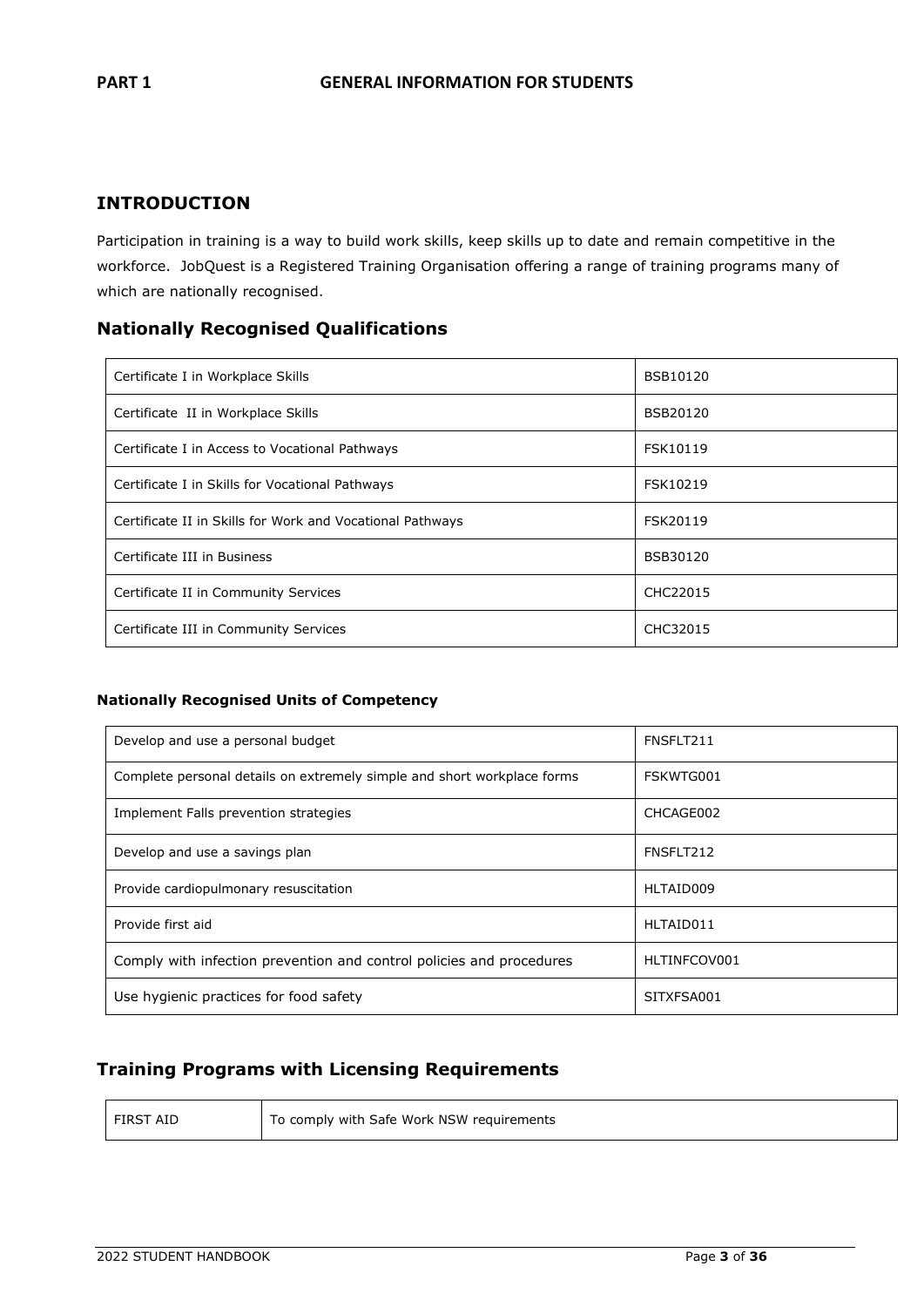# <span id="page-6-0"></span>**INTRODUCTION**

Participation in training is a way to build work skills, keep skills up to date and remain competitive in the workforce. JobQuest is a Registered Training Organisation offering a range of training programs many of which are nationally recognised.

### **Nationally Recognised Qualifications**

| Certificate I in Workplace Skills                         | <b>BSB10120</b> |
|-----------------------------------------------------------|-----------------|
| Certificate II in Workplace Skills                        | BSB20120        |
| Certificate I in Access to Vocational Pathways            | FSK10119        |
| Certificate I in Skills for Vocational Pathways           | FSK10219        |
| Certificate II in Skills for Work and Vocational Pathways | FSK20119        |
| Certificate III in Business                               | <b>BSB30120</b> |
| Certificate II in Community Services                      | CHC22015        |
| Certificate III in Community Services                     | CHC32015        |

#### **Nationally Recognised Units of Competency**

| Develop and use a personal budget                                       | FNSFLT211    |
|-------------------------------------------------------------------------|--------------|
| Complete personal details on extremely simple and short workplace forms | FSKWTG001    |
| Implement Falls prevention strategies                                   | CHCAGE002    |
| Develop and use a savings plan                                          | FNSFLT212    |
| Provide cardiopulmonary resuscitation                                   | HLTAID009    |
| Provide first aid                                                       | HLTAID011    |
| Comply with infection prevention and control policies and procedures    | HLTINFCOV001 |
| Use hygienic practices for food safety                                  | SITXFSA001   |

# **Training Programs with Licensing Requirements**

| l FIRST AID | To comply with Safe Work NSW requirements |
|-------------|-------------------------------------------|
|-------------|-------------------------------------------|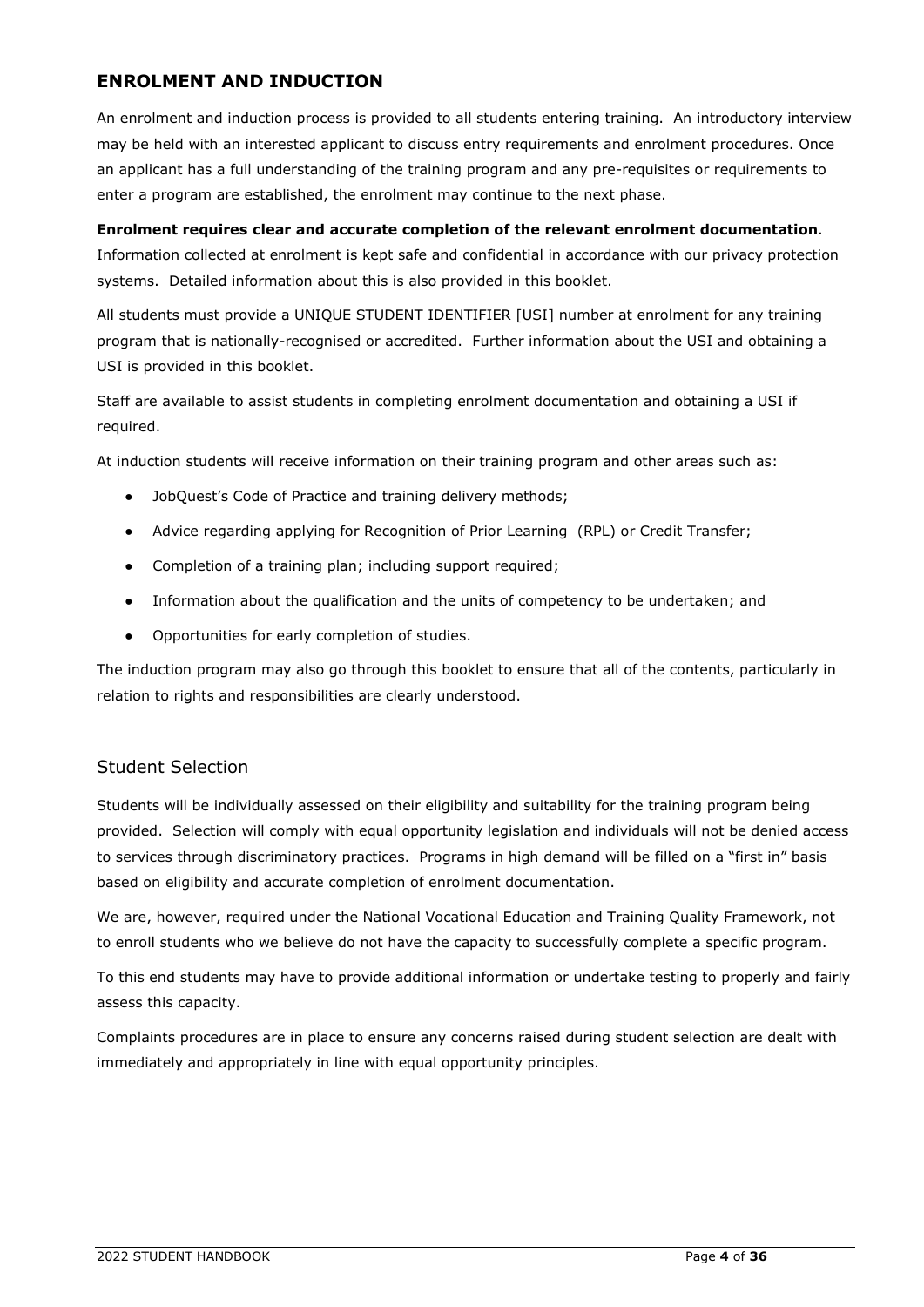# <span id="page-7-0"></span>**ENROLMENT AND INDUCTION**

An enrolment and induction process is provided to all students entering training. An introductory interview may be held with an interested applicant to discuss entry requirements and enrolment procedures. Once an applicant has a full understanding of the training program and any pre-requisites or requirements to enter a program are established, the enrolment may continue to the next phase.

#### **Enrolment requires clear and accurate completion of the relevant enrolment documentation**.

Information collected at enrolment is kept safe and confidential in accordance with our privacy protection systems. Detailed information about this is also provided in this booklet.

All students must provide a UNIQUE STUDENT IDENTIFIER [USI] number at enrolment for any training program that is nationally-recognised or accredited. Further information about the USI and obtaining a USI is provided in this booklet.

Staff are available to assist students in completing enrolment documentation and obtaining a USI if required.

At induction students will receive information on their training program and other areas such as:

- JobQuest's Code of Practice and training delivery methods;
- Advice regarding applying for Recognition of Prior Learning (RPL) or Credit Transfer;
- Completion of a training plan; including support required;
- Information about the qualification and the units of competency to be undertaken; and
- Opportunities for early completion of studies.

The induction program may also go through this booklet to ensure that all of the contents, particularly in relation to rights and responsibilities are clearly understood.

### <span id="page-7-1"></span>Student Selection

Students will be individually assessed on their eligibility and suitability for the training program being provided. Selection will comply with equal opportunity legislation and individuals will not be denied access to services through discriminatory practices. Programs in high demand will be filled on a "first in" basis based on eligibility and accurate completion of enrolment documentation.

We are, however, required under the National Vocational Education and Training Quality Framework, not to enroll students who we believe do not have the capacity to successfully complete a specific program.

To this end students may have to provide additional information or undertake testing to properly and fairly assess this capacity.

Complaints procedures are in place to ensure any concerns raised during student selection are dealt with immediately and appropriately in line with equal opportunity principles.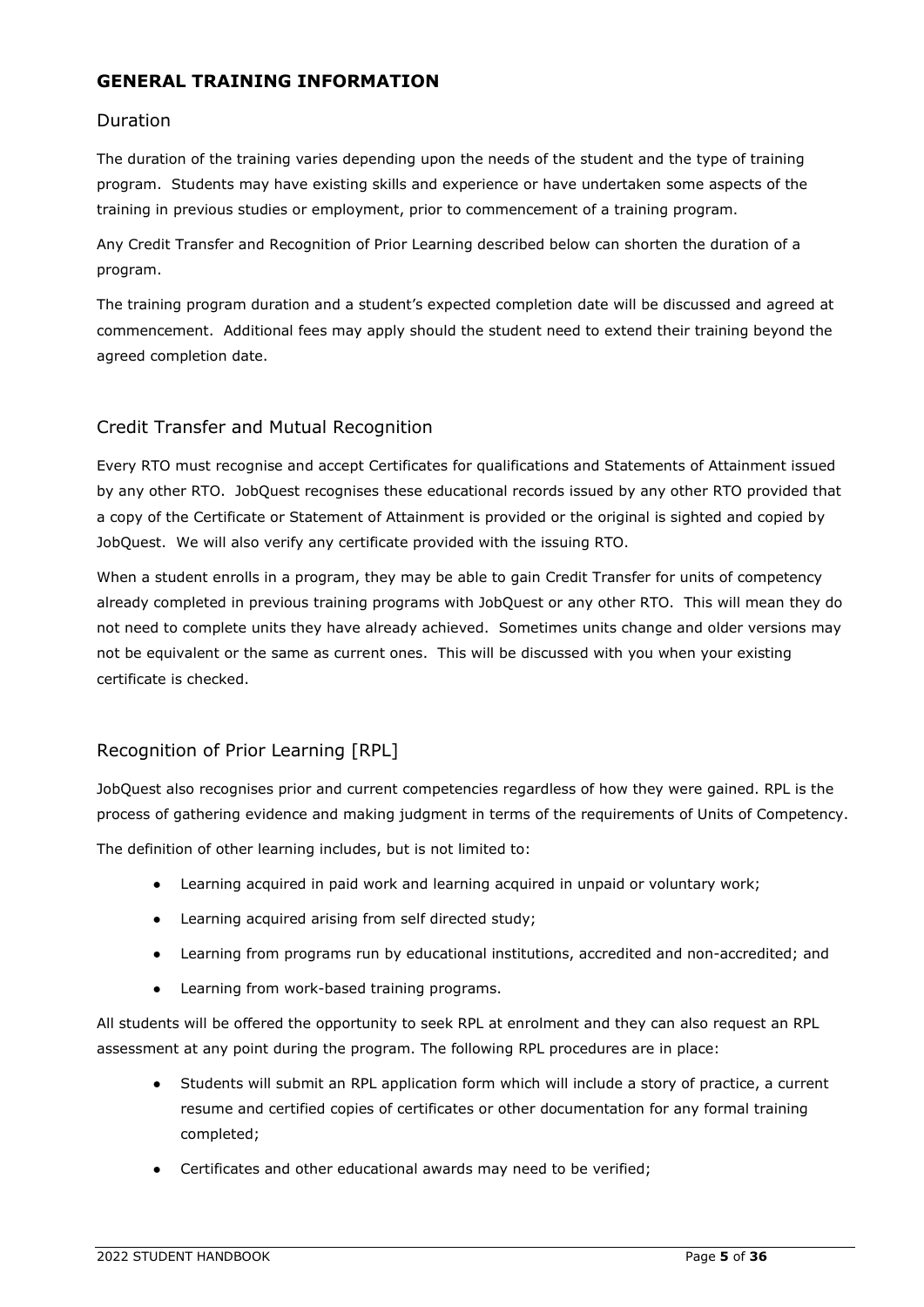# <span id="page-8-0"></span>**GENERAL TRAINING INFORMATION**

## <span id="page-8-1"></span>Duration

The duration of the training varies depending upon the needs of the student and the type of training program. Students may have existing skills and experience or have undertaken some aspects of the training in previous studies or employment, prior to commencement of a training program.

Any Credit Transfer and Recognition of Prior Learning described below can shorten the duration of a program.

The training program duration and a student's expected completion date will be discussed and agreed at commencement. Additional fees may apply should the student need to extend their training beyond the agreed completion date.

# <span id="page-8-2"></span>Credit Transfer and Mutual Recognition

Every RTO must recognise and accept Certificates for qualifications and Statements of Attainment issued by any other RTO. JobQuest recognises these educational records issued by any other RTO provided that a copy of the Certificate or Statement of Attainment is provided or the original is sighted and copied by JobQuest. We will also verify any certificate provided with the issuing RTO.

When a student enrolls in a program, they may be able to gain Credit Transfer for units of competency already completed in previous training programs with JobQuest or any other RTO. This will mean they do not need to complete units they have already achieved. Sometimes units change and older versions may not be equivalent or the same as current ones. This will be discussed with you when your existing certificate is checked.

# <span id="page-8-3"></span>Recognition of Prior Learning [RPL]

JobQuest also recognises prior and current competencies regardless of how they were gained. RPL is the process of gathering evidence and making judgment in terms of the requirements of Units of Competency.

The definition of other learning includes, but is not limited to:

- Learning acquired in paid work and learning acquired in unpaid or voluntary work;
- Learning acquired arising from self directed study;
- Learning from programs run by educational institutions, accredited and non-accredited; and
- Learning from work-based training programs.

All students will be offered the opportunity to seek RPL at enrolment and they can also request an RPL assessment at any point during the program. The following RPL procedures are in place:

- Students will submit an RPL application form which will include a story of practice, a current resume and certified copies of certificates or other documentation for any formal training completed;
- Certificates and other educational awards may need to be verified;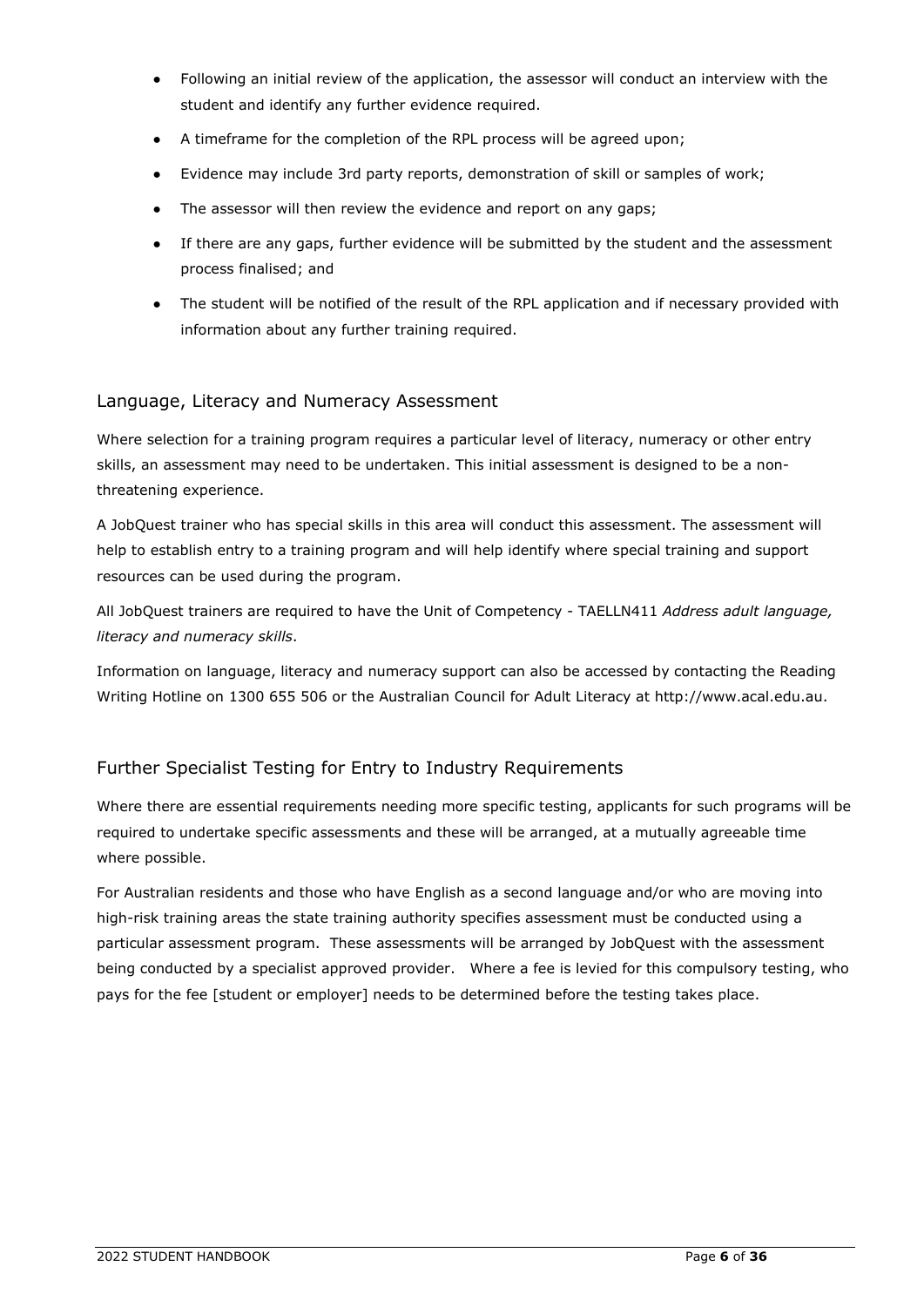- Following an initial review of the application, the assessor will conduct an interview with the student and identify any further evidence required.
- A timeframe for the completion of the RPL process will be agreed upon;
- Evidence may include 3rd party reports, demonstration of skill or samples of work;
- The assessor will then review the evidence and report on any gaps;
- If there are any gaps, further evidence will be submitted by the student and the assessment process finalised; and
- The student will be notified of the result of the RPL application and if necessary provided with information about any further training required.

### <span id="page-9-0"></span>Language, Literacy and Numeracy Assessment

Where selection for a training program requires a particular level of literacy, numeracy or other entry skills, an assessment may need to be undertaken. This initial assessment is designed to be a nonthreatening experience.

A JobQuest trainer who has special skills in this area will conduct this assessment. The assessment will help to establish entry to a training program and will help identify where special training and support resources can be used during the program.

All JobQuest trainers are required to have the Unit of Competency - TAELLN411 *Address adult language, literacy and numeracy skills*.

Information on language, literacy and numeracy support can also be accessed by contacting the Reading Writing Hotline on 1300 655 506 or the Australian Council for Adult Literacy at [http://www.acal.edu.au.](http://www.acal.edu.au/)

### <span id="page-9-1"></span>Further Specialist Testing for Entry to Industry Requirements

Where there are essential requirements needing more specific testing, applicants for such programs will be required to undertake specific assessments and these will be arranged, at a mutually agreeable time where possible.

For Australian residents and those who have English as a second language and/or who are moving into high-risk training areas the state training authority specifies assessment must be conducted using a particular assessment program. These assessments will be arranged by JobQuest with the assessment being conducted by a specialist approved provider. Where a fee is levied for this compulsory testing, who pays for the fee [student or employer] needs to be determined before the testing takes place.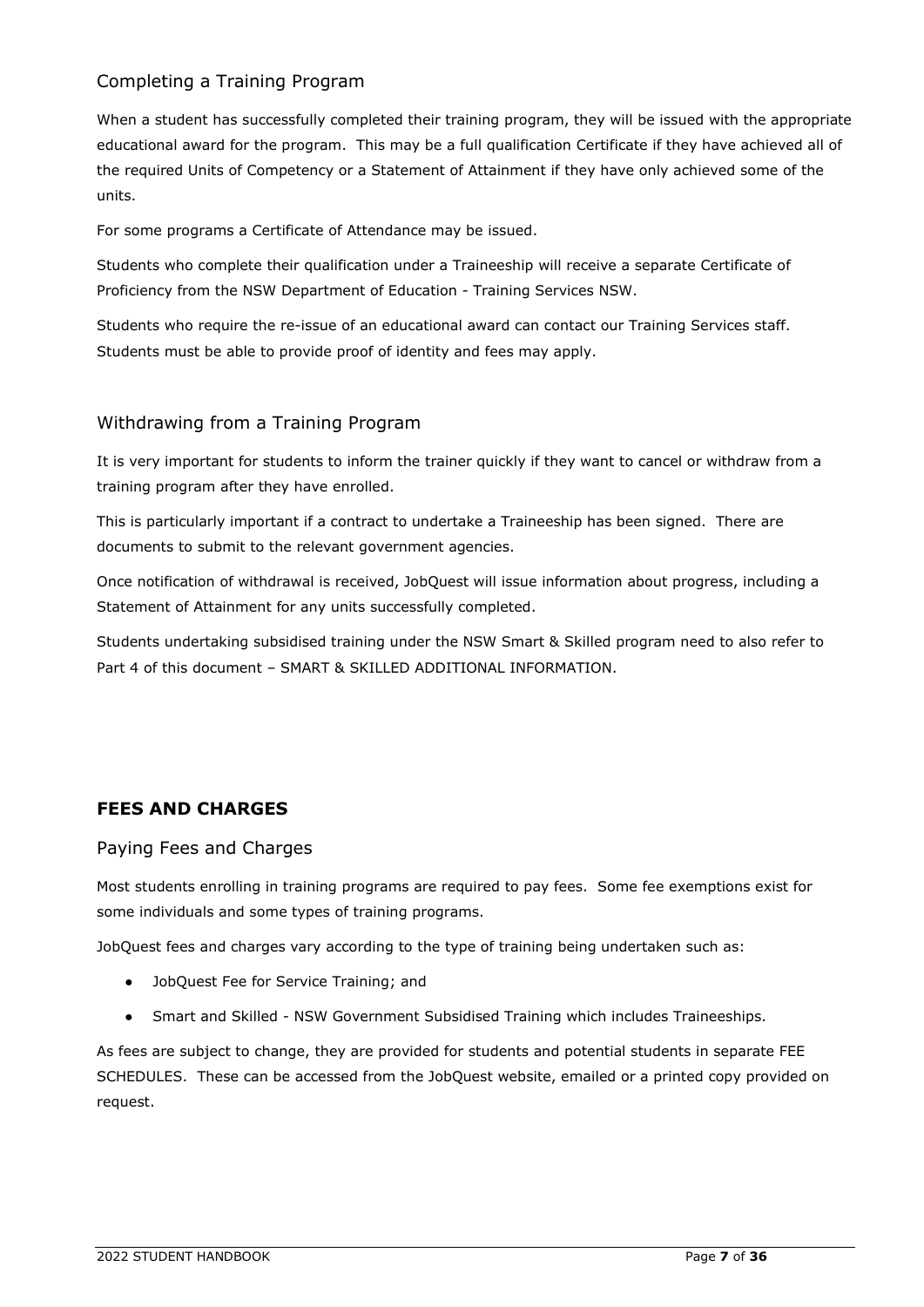# <span id="page-10-0"></span>Completing a Training Program

When a student has successfully completed their training program, they will be issued with the appropriate educational award for the program. This may be a full qualification Certificate if they have achieved all of the required Units of Competency or a Statement of Attainment if they have only achieved some of the units.

For some programs a Certificate of Attendance may be issued.

Students who complete their qualification under a Traineeship will receive a separate Certificate of Proficiency from the NSW Department of Education - Training Services NSW.

Students who require the re-issue of an educational award can contact our Training Services staff. Students must be able to provide proof of identity and fees may apply.

# <span id="page-10-1"></span>Withdrawing from a Training Program

It is very important for students to inform the trainer quickly if they want to cancel or withdraw from a training program after they have enrolled.

This is particularly important if a contract to undertake a Traineeship has been signed. There are documents to submit to the relevant government agencies.

Once notification of withdrawal is received, JobQuest will issue information about progress, including a Statement of Attainment for any units successfully completed.

Students undertaking subsidised training under the NSW Smart & Skilled program need to also refer to Part 4 of this document – SMART & SKILLED ADDITIONAL INFORMATION.

# <span id="page-10-2"></span>**FEES AND CHARGES**

### <span id="page-10-3"></span>Paying Fees and Charges

Most students enrolling in training programs are required to pay fees. Some fee exemptions exist for some individuals and some types of training programs.

JobQuest fees and charges vary according to the type of training being undertaken such as:

- JobQuest Fee for Service Training; and
- Smart and Skilled NSW Government Subsidised Training which includes Traineeships.

As fees are subject to change, they are provided for students and potential students in separate FEE SCHEDULES. These can be accessed from the JobQuest website, emailed or a printed copy provided on request.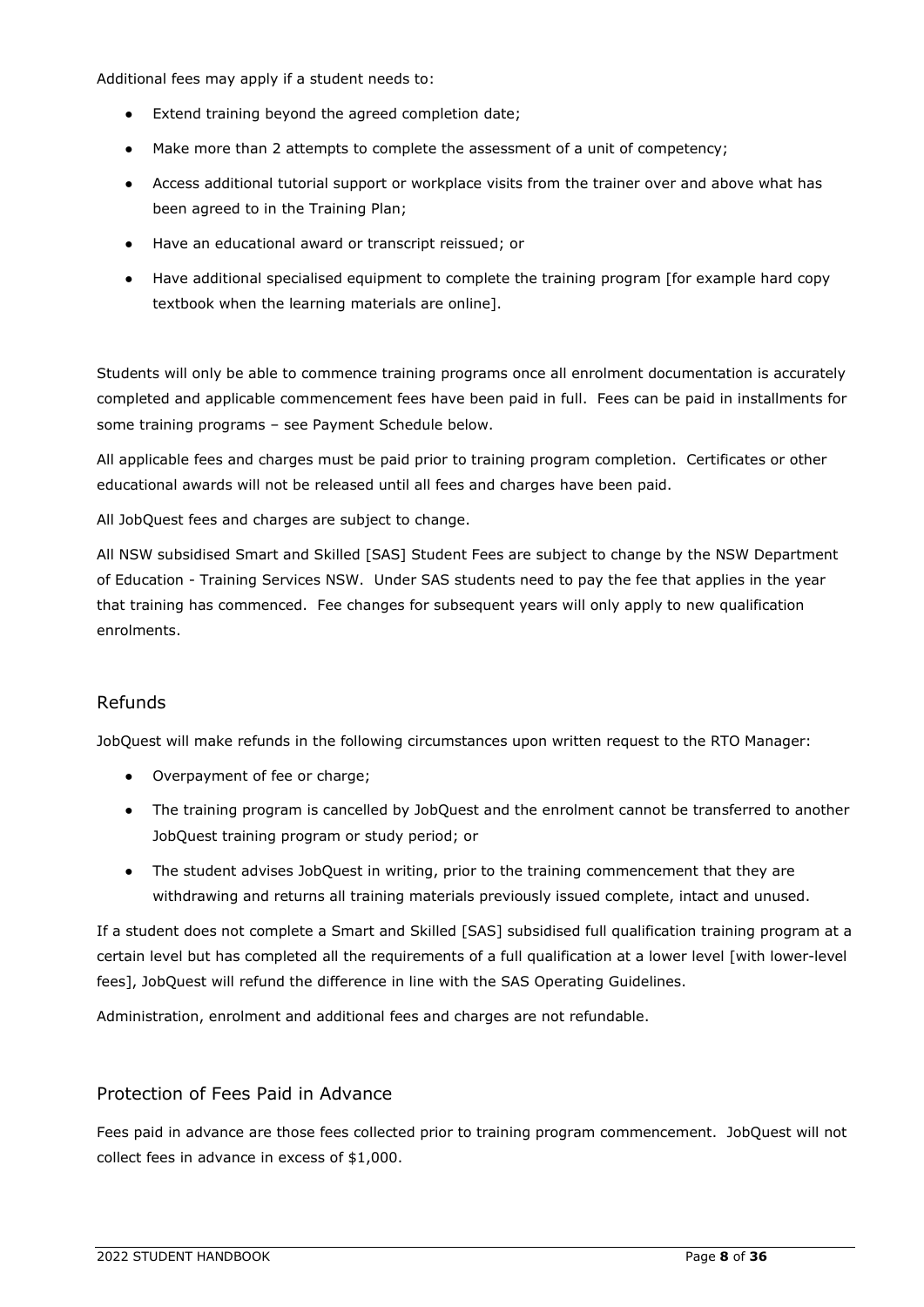Additional fees may apply if a student needs to:

- Extend training beyond the agreed completion date;
- Make more than 2 attempts to complete the assessment of a unit of competency;
- Access additional tutorial support or workplace visits from the trainer over and above what has been agreed to in the Training Plan;
- Have an educational award or transcript reissued; or
- Have additional specialised equipment to complete the training program [for example hard copy textbook when the learning materials are online].

Students will only be able to commence training programs once all enrolment documentation is accurately completed and applicable commencement fees have been paid in full. Fees can be paid in installments for some training programs – see Payment Schedule below.

All applicable fees and charges must be paid prior to training program completion. Certificates or other educational awards will not be released until all fees and charges have been paid.

All JobQuest fees and charges are subject to change.

All NSW subsidised Smart and Skilled [SAS] Student Fees are subject to change by the NSW Department of Education - Training Services NSW. Under SAS students need to pay the fee that applies in the year that training has commenced. Fee changes for subsequent years will only apply to new qualification enrolments.

### <span id="page-11-0"></span>Refunds

JobQuest will make refunds in the following circumstances upon written request to the RTO Manager:

- Overpayment of fee or charge;
- The training program is cancelled by JobQuest and the enrolment cannot be transferred to another JobQuest training program or study period; or
- The student advises JobQuest in writing, prior to the training commencement that they are withdrawing and returns all training materials previously issued complete, intact and unused.

If a student does not complete a Smart and Skilled [SAS] subsidised full qualification training program at a certain level but has completed all the requirements of a full qualification at a lower level [with lower-level fees], JobQuest will refund the difference in line with the SAS Operating Guidelines.

Administration, enrolment and additional fees and charges are not refundable.

### <span id="page-11-1"></span>Protection of Fees Paid in Advance

<span id="page-11-2"></span>Fees paid in advance are those fees collected prior to training program commencement. JobQuest will not collect fees in advance in excess of \$1,000.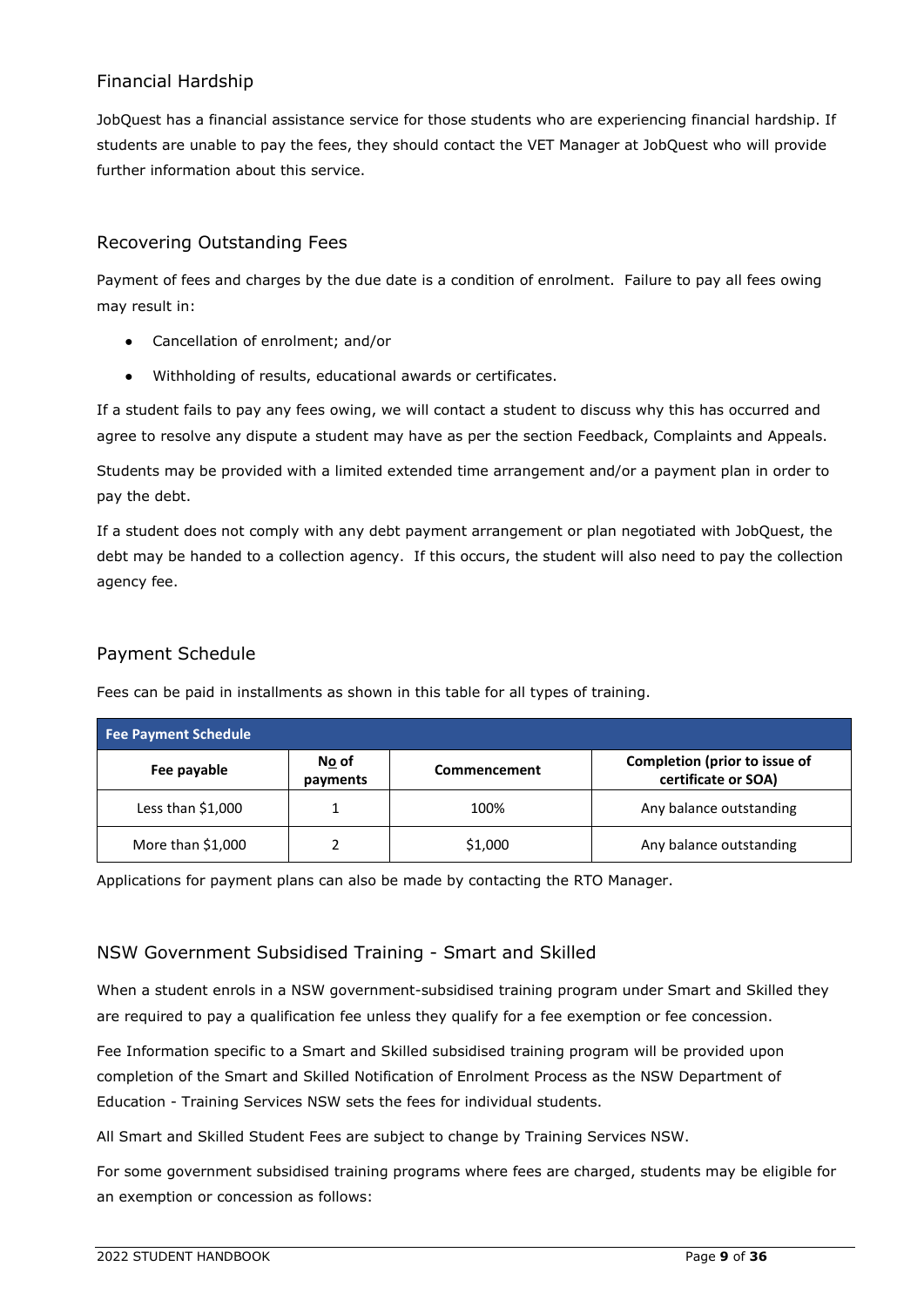# Financial Hardship

JobQuest has a financial assistance service for those students who are experiencing financial hardship. If students are unable to pay the fees, they should contact the VET Manager at JobQuest who will provide further information about this service.

# <span id="page-12-0"></span>Recovering Outstanding Fees

Payment of fees and charges by the due date is a condition of enrolment. Failure to pay all fees owing may result in:

- Cancellation of enrolment; and/or
- Withholding of results, educational awards or certificates.

If a student fails to pay any fees owing, we will contact a student to discuss why this has occurred and agree to resolve any dispute a student may have as per the section Feedback, Complaints and Appeals.

Students may be provided with a limited extended time arrangement and/or a payment plan in order to pay the debt.

If a student does not comply with any debt payment arrangement or plan negotiated with JobQuest, the debt may be handed to a collection agency. If this occurs, the student will also need to pay the collection agency fee.

# <span id="page-12-1"></span>Payment Schedule

| <b>Fee Payment Schedule</b> |                   |              |                                                      |
|-----------------------------|-------------------|--------------|------------------------------------------------------|
| Fee payable                 | No of<br>payments | Commencement | Completion (prior to issue of<br>certificate or SOA) |
| Less than $$1,000$          |                   | 100%         | Any balance outstanding                              |
| More than $$1,000$          |                   | \$1,000      | Any balance outstanding                              |

Fees can be paid in installments as shown in this table for all types of training.

Applications for payment plans can also be made by contacting the RTO Manager.

# <span id="page-12-2"></span>NSW Government Subsidised Training - Smart and Skilled

When a student enrols in a NSW government-subsidised training program under Smart and Skilled they are required to pay a qualification fee unless they qualify for a fee exemption or fee concession.

Fee Information specific to a Smart and Skilled subsidised training program will be provided upon completion of the Smart and Skilled Notification of Enrolment Process as the NSW Department of Education - Training Services NSW sets the fees for individual students.

All Smart and Skilled Student Fees are subject to change by Training Services NSW.

For some government subsidised training programs where fees are charged, students may be eligible for an exemption or concession as follows: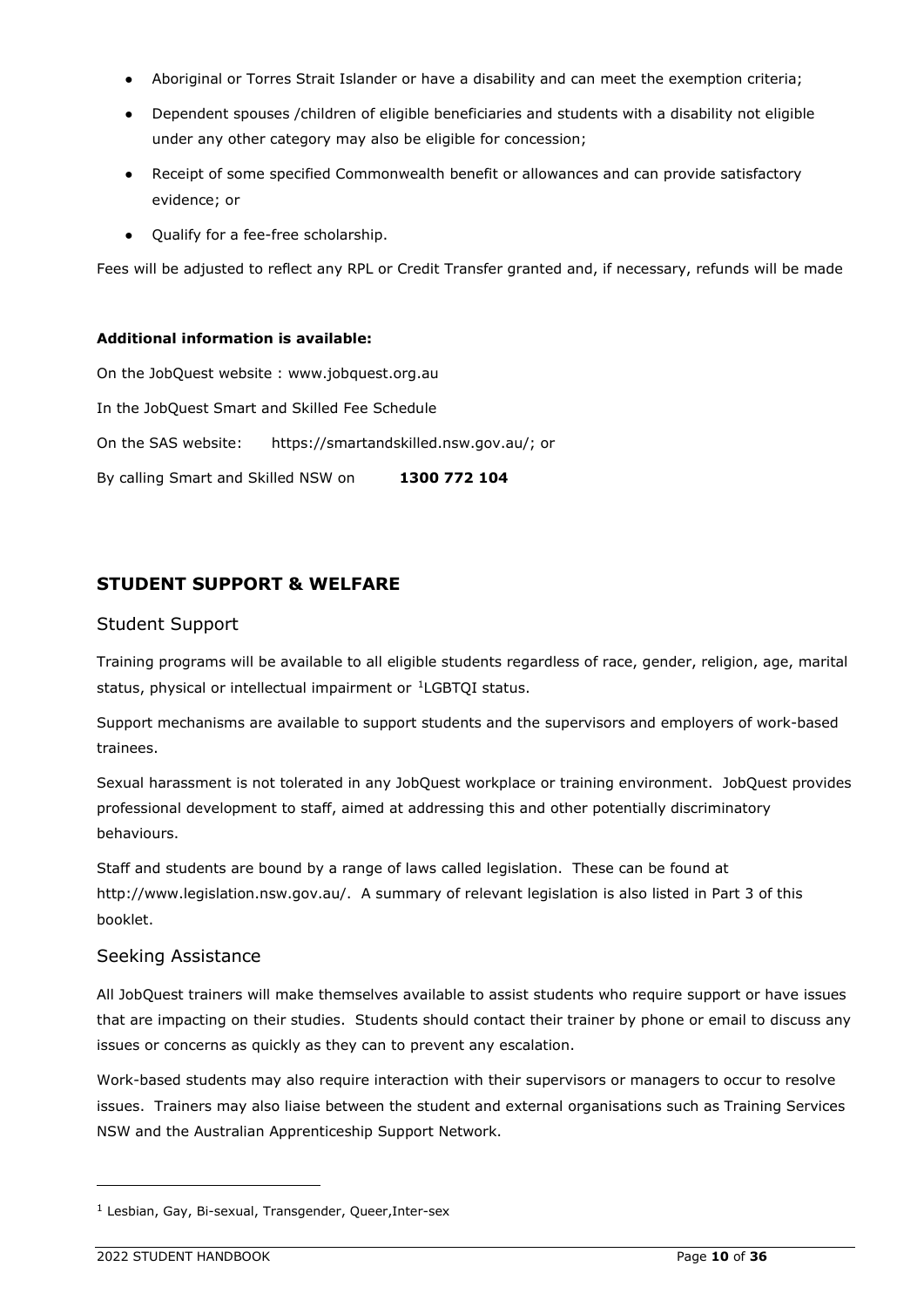- Aboriginal or Torres Strait Islander or have a disability and can meet the exemption criteria;
- Dependent spouses /children of eligible beneficiaries and students with a disability not eligible under any other category may also be eligible for concession;
- Receipt of some specified Commonwealth benefit or allowances and can provide satisfactory evidence; or
- Qualify for a fee-free scholarship.

Fees will be adjusted to reflect any RPL or Credit Transfer granted and, if necessary, refunds will be made

#### **Additional information is available:**

On the JobQuest website : [www.jobquest.org.au](http://www.jobquest.org.au/) In the JobQuest Smart and Skilled Fee Schedule On the SAS website: [https://smartandskilled.nsw.gov.au/;](https://smartandskilled.nsw.gov.au/) or By calling Smart and Skilled NSW on **[1300 772 104](tel:1300772104)**

# <span id="page-13-0"></span>**STUDENT SUPPORT & WELFARE**

#### <span id="page-13-1"></span>Student Support

Training programs will be available to all eligible students regardless of race, gender, religion, age, marital status, physical or intellectual impairment or <sup>[1](#page-13-3)</sup>LGBTQI status.

Support mechanisms are available to support students and the supervisors and employers of work-based trainees.

Sexual harassment is not tolerated in any JobQuest workplace or training environment. JobQuest provides professional development to staff, aimed at addressing this and other potentially discriminatory behaviours.

Staff and students are bound by a range of laws called legislation. These can be found at [http://www.legislation.nsw.gov.au/.](http://www.legislation.nsw.gov.au/) A summary of relevant legislation is also listed in Part 3 of this booklet.

### <span id="page-13-2"></span>Seeking Assistance

All JobQuest trainers will make themselves available to assist students who require support or have issues that are impacting on their studies. Students should contact their trainer by phone or email to discuss any issues or concerns as quickly as they can to prevent any escalation.

Work-based students may also require interaction with their supervisors or managers to occur to resolve issues. Trainers may also liaise between the student and external organisations such as Training Services NSW and the Australian Apprenticeship Support Network.

<span id="page-13-3"></span><sup>&</sup>lt;sup>1</sup> Lesbian, Gay, Bi-sexual, Transgender, Queer, Inter-sex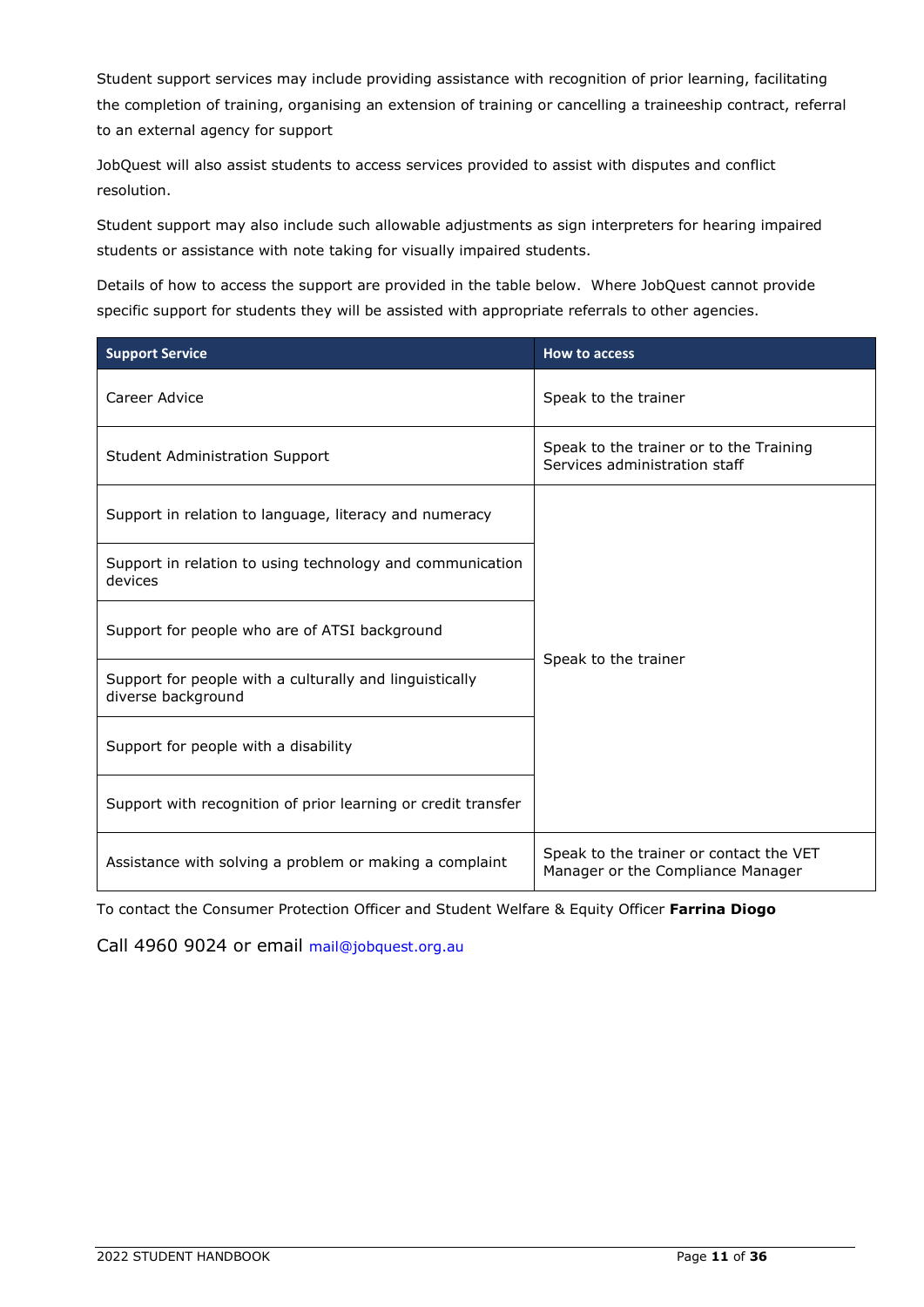Student support services may include providing assistance with recognition of prior learning, facilitating the completion of training, organising an extension of training or cancelling a traineeship contract, referral to an external agency for support

JobQuest will also assist students to access services provided to assist with disputes and conflict resolution.

Student support may also include such allowable adjustments as sign interpreters for hearing impaired students or assistance with note taking for visually impaired students.

Details of how to access the support are provided in the table below. Where JobQuest cannot provide specific support for students they will be assisted with appropriate referrals to other agencies.

| <b>Support Service</b>                                                        | <b>How to access</b>                                                         |  |
|-------------------------------------------------------------------------------|------------------------------------------------------------------------------|--|
| Career Advice                                                                 | Speak to the trainer                                                         |  |
| <b>Student Administration Support</b>                                         | Speak to the trainer or to the Training<br>Services administration staff     |  |
| Support in relation to language, literacy and numeracy                        |                                                                              |  |
| Support in relation to using technology and communication<br>devices          | Speak to the trainer                                                         |  |
| Support for people who are of ATSI background                                 |                                                                              |  |
| Support for people with a culturally and linguistically<br>diverse background |                                                                              |  |
| Support for people with a disability                                          |                                                                              |  |
| Support with recognition of prior learning or credit transfer                 |                                                                              |  |
| Assistance with solving a problem or making a complaint                       | Speak to the trainer or contact the VET<br>Manager or the Compliance Manager |  |

To contact the Consumer Protection Officer and Student Welfare & Equity Officer **Farrina Diogo**

<span id="page-14-0"></span>Call 4960 9024 or email [mail@jobquest.org.au](mailto:mail@jobquest.org.au)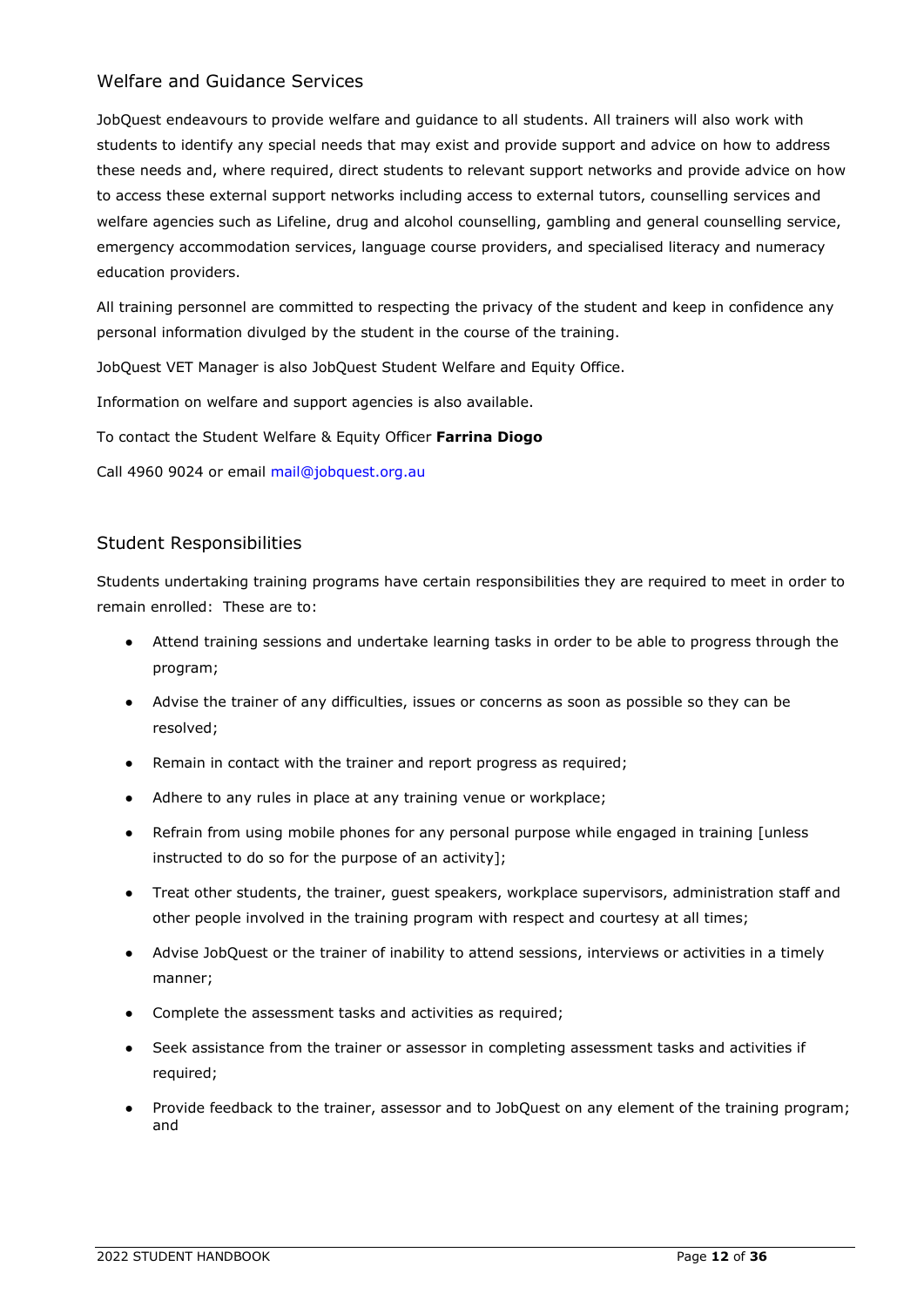#### Welfare and Guidance Services

JobQuest endeavours to provide welfare and guidance to all students. All trainers will also work with students to identify any special needs that may exist and provide support and advice on how to address these needs and, where required, direct students to relevant support networks and provide advice on how to access these external support networks including access to external tutors, counselling services and welfare agencies such as Lifeline, drug and alcohol counselling, gambling and general counselling service, emergency accommodation services, language course providers, and specialised literacy and numeracy education providers.

All training personnel are committed to respecting the privacy of the student and keep in confidence any personal information divulged by the student in the course of the training.

JobQuest VET Manager is also JobQuest Student Welfare and Equity Office.

Information on welfare and support agencies is also available.

To contact the Student Welfare & Equity Officer **Farrina Diogo**

Call 4960 9024 or email [mail@jobquest.org.au](mailto:mail@jobquest.org.au)

### <span id="page-15-0"></span>Student Responsibilities

Students undertaking training programs have certain responsibilities they are required to meet in order to remain enrolled: These are to:

- Attend training sessions and undertake learning tasks in order to be able to progress through the program;
- Advise the trainer of any difficulties, issues or concerns as soon as possible so they can be resolved;
- Remain in contact with the trainer and report progress as required;
- Adhere to any rules in place at any training venue or workplace;
- Refrain from using mobile phones for any personal purpose while engaged in training [unless] instructed to do so for the purpose of an activity];
- Treat other students, the trainer, guest speakers, workplace supervisors, administration staff and other people involved in the training program with respect and courtesy at all times;
- Advise JobQuest or the trainer of inability to attend sessions, interviews or activities in a timely manner;
- Complete the assessment tasks and activities as required;
- Seek assistance from the trainer or assessor in completing assessment tasks and activities if required;
- Provide feedback to the trainer, assessor and to JobQuest on any element of the training program; and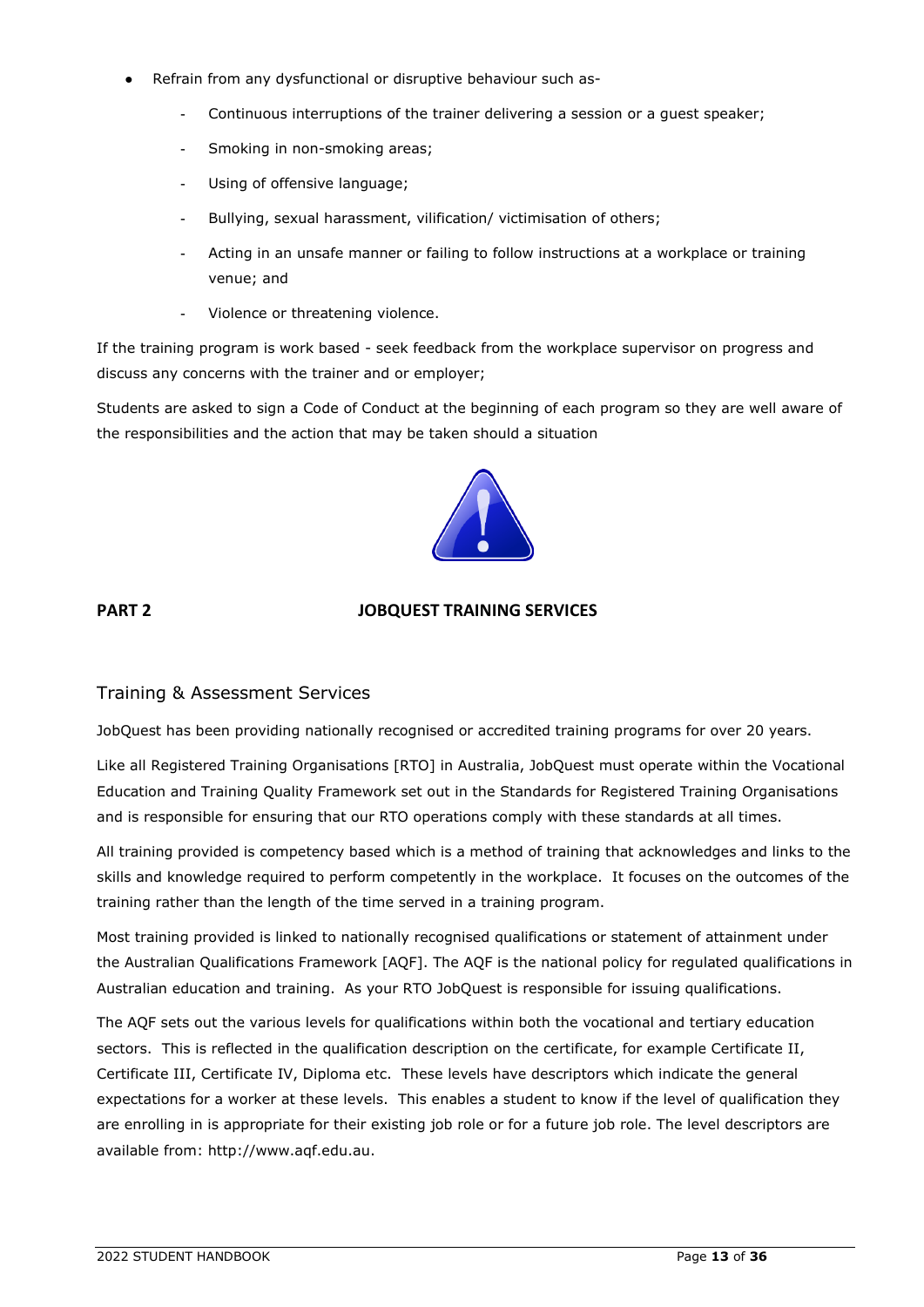- Refrain from any dysfunctional or disruptive behaviour such as-
	- Continuous interruptions of the trainer delivering a session or a quest speaker;
	- Smoking in non-smoking areas;
	- Using of offensive language;
	- Bullying, sexual harassment, vilification/ victimisation of others;
	- Acting in an unsafe manner or failing to follow instructions at a workplace or training venue; and
	- Violence or threatening violence.

If the training program is work based - seek feedback from the workplace supervisor on progress and discuss any concerns with the trainer and or employer;

Students are asked to sign a Code of Conduct at the beginning of each program so they are well aware of the responsibilities and the action that may be taken should a situation



### **PART 2 JOBQUEST TRAINING SERVICES**

### <span id="page-16-0"></span>Training & Assessment Services

JobQuest has been providing nationally recognised or accredited training programs for over 20 years.

Like all Registered Training Organisations [RTO] in Australia, JobQuest must operate within the Vocational Education and Training Quality Framework set out in the Standards for Registered Training Organisations and is responsible for ensuring that our RTO operations comply with these standards at all times.

All training provided is competency based which is a method of training that acknowledges and links to the skills and knowledge required to perform competently in the workplace. It focuses on the outcomes of the training rather than the length of the time served in a training program.

Most training provided is linked to nationally recognised qualifications or statement of attainment under the Australian Qualifications Framework [AQF]. The AQF is the national policy for regulated qualifications in Australian education and training. As your RTO JobQuest is responsible for issuing qualifications.

<span id="page-16-1"></span>The AQF sets out the various levels for qualifications within both the vocational and tertiary education sectors. This is reflected in the qualification description on the certificate, for example Certificate II, Certificate III, Certificate IV, Diploma etc. These levels have descriptors which indicate the general expectations for a worker at these levels. This enables a student to know if the level of qualification they are enrolling in is appropriate for their existing job role or for a future job role. The level descriptors are available from: [http://www.aqf.edu.au.](http://www.aqf.edu.au/)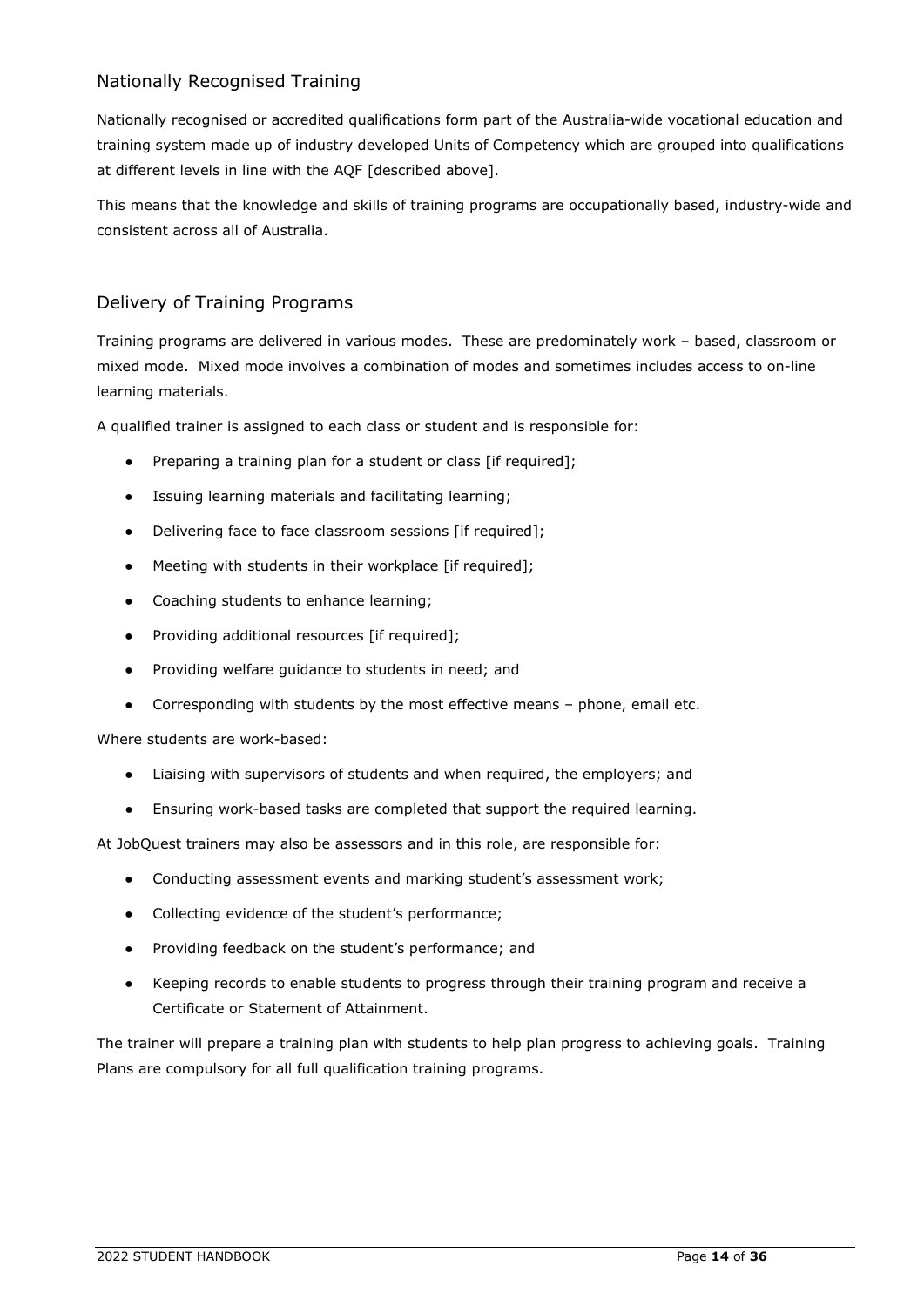# Nationally Recognised Training

Nationally recognised or accredited qualifications form part of the Australia-wide vocational education and training system made up of industry developed Units of Competency which are grouped into qualifications at different levels in line with the AQF [described above].

This means that the knowledge and skills of training programs are occupationally based, industry-wide and consistent across all of Australia.

# <span id="page-17-0"></span>Delivery of Training Programs

Training programs are delivered in various modes. These are predominately work – based, classroom or mixed mode. Mixed mode involves a combination of modes and sometimes includes access to on-line learning materials.

A qualified trainer is assigned to each class or student and is responsible for:

- Preparing a training plan for a student or class [if required];
- Issuing learning materials and facilitating learning;
- Delivering face to face classroom sessions [if required];
- Meeting with students in their workplace [if required];
- Coaching students to enhance learning;
- Providing additional resources [if required];
- Providing welfare guidance to students in need; and
- Corresponding with students by the most effective means phone, email etc.

Where students are work-based:

- Liaising with supervisors of students and when required, the employers; and
- Ensuring work-based tasks are completed that support the required learning.

At JobQuest trainers may also be assessors and in this role, are responsible for:

- Conducting assessment events and marking student's assessment work;
- Collecting evidence of the student's performance;
- Providing feedback on the student's performance; and
- Keeping records to enable students to progress through their training program and receive a Certificate or Statement of Attainment.

<span id="page-17-1"></span>The trainer will prepare a training plan with students to help plan progress to achieving goals. Training Plans are compulsory for all full qualification training programs.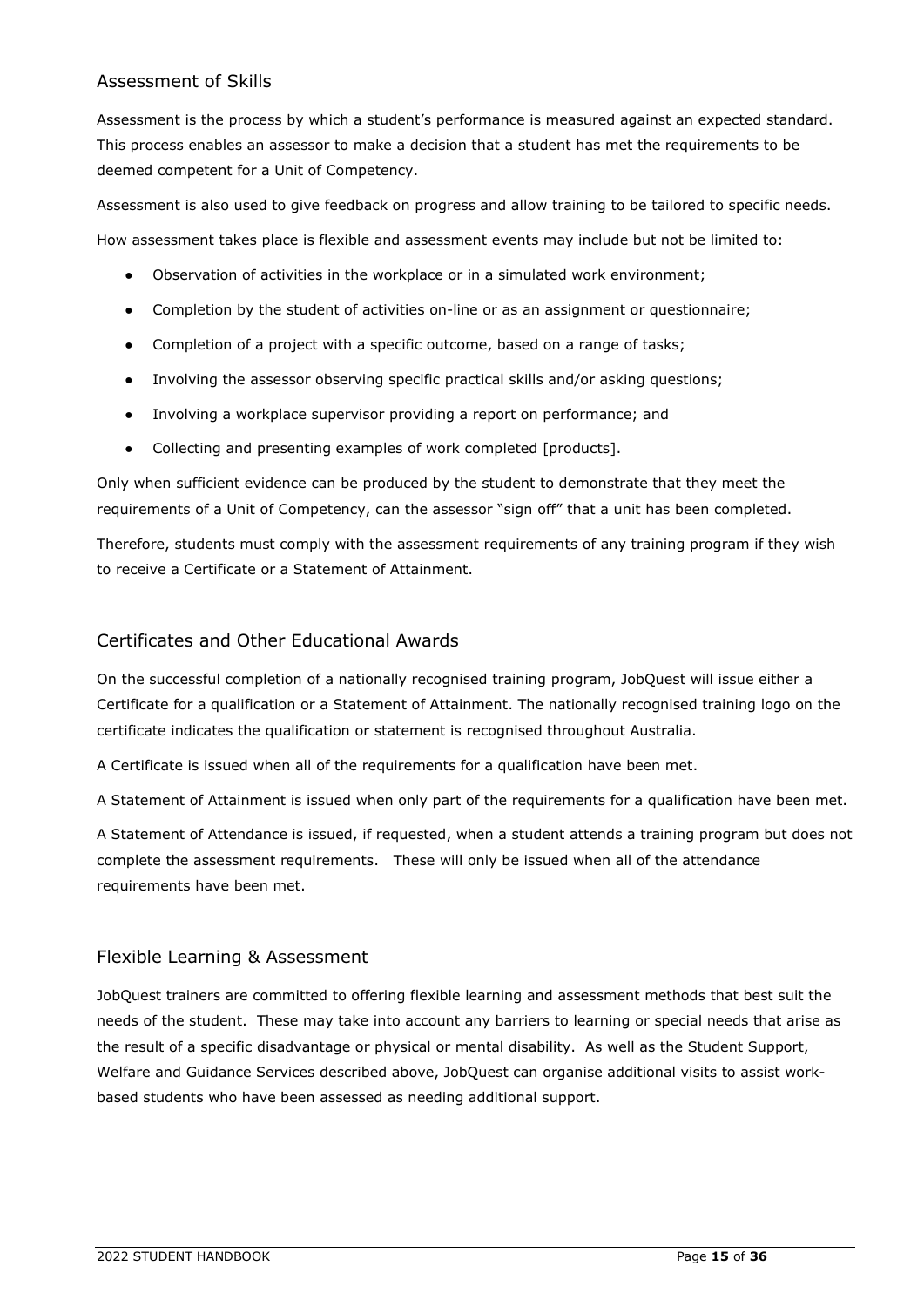# Assessment of Skills

Assessment is the process by which a student's performance is measured against an expected standard. This process enables an assessor to make a decision that a student has met the requirements to be deemed competent for a Unit of Competency.

Assessment is also used to give feedback on progress and allow training to be tailored to specific needs. How assessment takes place is flexible and assessment events may include but not be limited to:

- Observation of activities in the workplace or in a simulated work environment;
- Completion by the student of activities on-line or as an assignment or questionnaire;
- Completion of a project with a specific outcome, based on a range of tasks;
- Involving the assessor observing specific practical skills and/or asking questions;
- Involving a workplace supervisor providing a report on performance; and
- Collecting and presenting examples of work completed [products].

Only when sufficient evidence can be produced by the student to demonstrate that they meet the requirements of a Unit of Competency, can the assessor "sign off" that a unit has been completed.

Therefore, students must comply with the assessment requirements of any training program if they wish to receive a Certificate or a Statement of Attainment.

### <span id="page-18-0"></span>Certificates and Other Educational Awards

On the successful completion of a nationally recognised training program, JobQuest will issue either a Certificate for a qualification or a Statement of Attainment. The nationally recognised training logo on the certificate indicates the qualification or statement is recognised throughout Australia.

A Certificate is issued when all of the requirements for a qualification have been met.

A Statement of Attainment is issued when only part of the requirements for a qualification have been met.

A Statement of Attendance is issued, if requested, when a student attends a training program but does not complete the assessment requirements. These will only be issued when all of the attendance requirements have been met.

### <span id="page-18-1"></span>Flexible Learning & Assessment

<span id="page-18-2"></span>JobQuest trainers are committed to offering flexible learning and assessment methods that best suit the needs of the student. These may take into account any barriers to learning or special needs that arise as the result of a specific disadvantage or physical or mental disability. As well as the Student Support, Welfare and Guidance Services described above, JobQuest can organise additional visits to assist workbased students who have been assessed as needing additional support.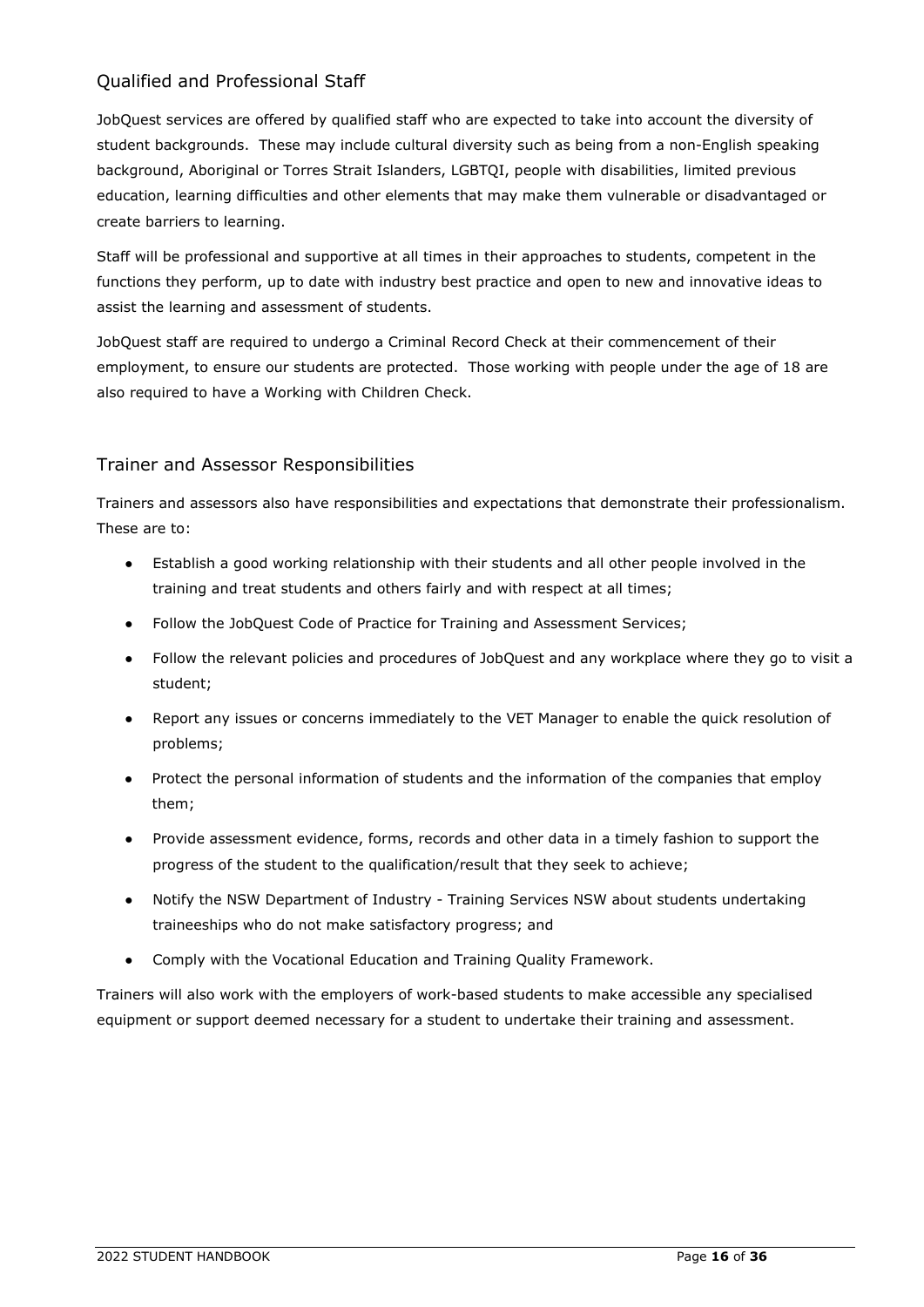# Qualified and Professional Staff

JobQuest services are offered by qualified staff who are expected to take into account the diversity of student backgrounds. These may include cultural diversity such as being from a non-English speaking background, Aboriginal or Torres Strait Islanders, LGBTQI, people with disabilities, limited previous education, learning difficulties and other elements that may make them vulnerable or disadvantaged or create barriers to learning.

Staff will be professional and supportive at all times in their approaches to students, competent in the functions they perform, up to date with industry best practice and open to new and innovative ideas to assist the learning and assessment of students.

JobQuest staff are required to undergo a Criminal Record Check at their commencement of their employment, to ensure our students are protected. Those working with people under the age of 18 are also required to have a [Working with Children Check.](https://www.kidsguardian.nsw.gov.au/child-safe-organisations/working-with-children-check)

# <span id="page-19-0"></span>Trainer and Assessor Responsibilities

Trainers and assessors also have responsibilities and expectations that demonstrate their professionalism. These are to:

- Establish a good working relationship with their students and all other people involved in the training and treat students and others fairly and with respect at all times;
- Follow the JobQuest Code of Practice for Training and Assessment Services;
- Follow the relevant policies and procedures of JobQuest and any workplace where they go to visit a student;
- Report any issues or concerns immediately to the VET Manager to enable the quick resolution of problems;
- Protect the personal information of students and the information of the companies that employ them;
- Provide assessment evidence, forms, records and other data in a timely fashion to support the progress of the student to the qualification/result that they seek to achieve;
- Notify the NSW Department of Industry Training Services NSW about students undertaking traineeships who do not make satisfactory progress; and
- Comply with the Vocational Education and Training Quality Framework.

Trainers will also work with the employers of work-based students to make accessible any specialised equipment or support deemed necessary for a student to undertake their training and assessment.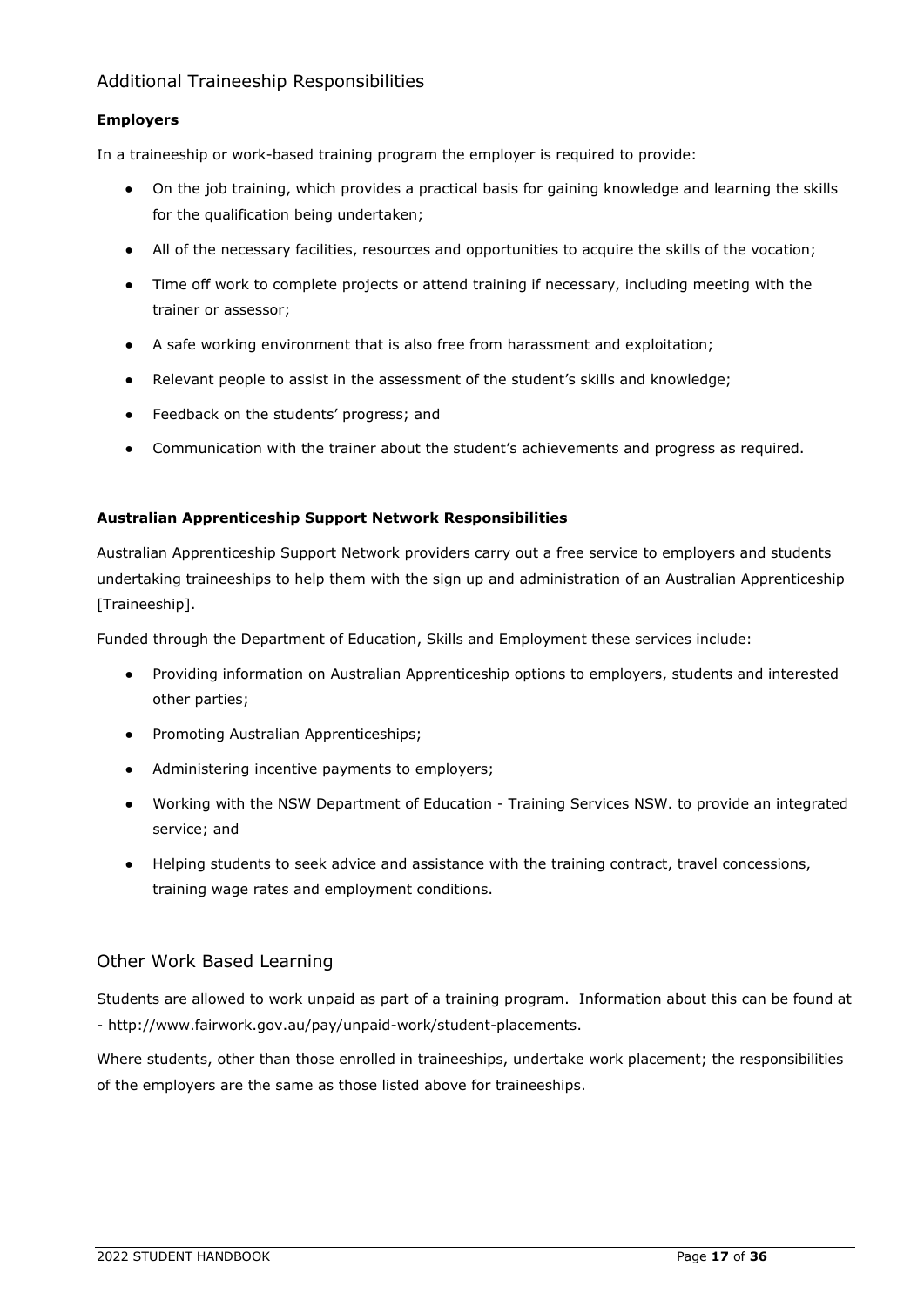# <span id="page-20-0"></span>Additional Traineeship Responsibilities

#### **Employers**

In a traineeship or work-based training program the employer is required to provide:

- On the job training, which provides a practical basis for gaining knowledge and learning the skills for the qualification being undertaken;
- All of the necessary facilities, resources and opportunities to acquire the skills of the vocation;
- Time off work to complete projects or attend training if necessary, including meeting with the trainer or assessor;
- A safe working environment that is also free from harassment and exploitation;
- Relevant people to assist in the assessment of the student's skills and knowledge;
- Feedback on the students' progress; and
- Communication with the trainer about the student's achievements and progress as required.

#### **Australian Apprenticeship Support Network Responsibilities**

Australian Apprenticeship Support Network providers carry out a free service to employers and students undertaking traineeships to help them with the sign up and administration of an Australian Apprenticeship [Traineeship].

Funded through the Department of Education, Skills and Employment these services include:

- Providing information on Australian Apprenticeship options to employers, students and interested other parties;
- Promoting Australian Apprenticeships;
- Administering incentive payments to employers;
- Working with the NSW Department of Education Training Services NSW. to provide an integrated service; and
- Helping students to seek advice and assistance with the training contract, travel concessions, training wage rates and employment conditions.

### <span id="page-20-1"></span>Other Work Based Learning

Students are allowed to work unpaid as part of a training program. Information about this can be found at - [http://www.fairwork.gov.au/pay/unpaid-work/student-placements.](http://www.fairwork.gov.au/pay/unpaid-work/student-placements)

Where students, other than those enrolled in traineeships, undertake work placement; the responsibilities of the employers are the same as those listed above for traineeships.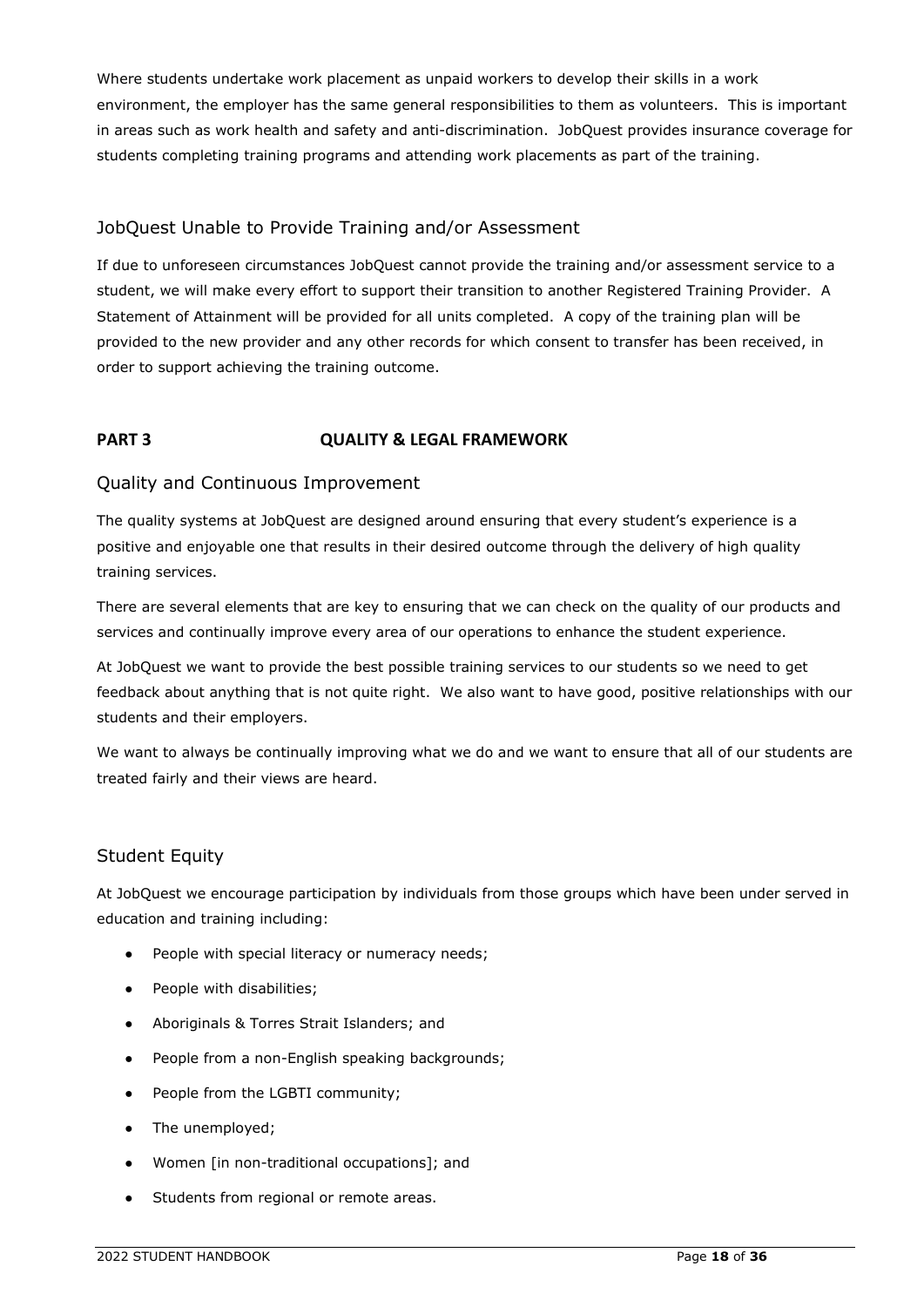Where students undertake work placement as unpaid workers to develop their skills in a work environment, the employer has the same general responsibilities to them as volunteers. This is important in areas such as work health and safety and anti-discrimination. JobQuest provides insurance coverage for students completing training programs and attending work placements as part of the training.

# <span id="page-21-0"></span>JobQuest Unable to Provide Training and/or Assessment

If due to unforeseen circumstances JobQuest cannot provide the training and/or assessment service to a student, we will make every effort to support their transition to another Registered Training Provider. A Statement of Attainment will be provided for all units completed. A copy of the training plan will be provided to the new provider and any other records for which consent to transfer has been received, in order to support achieving the training outcome.

# **PART 3 QUALITY & LEGAL FRAMEWORK**

### <span id="page-21-1"></span>Quality and Continuous Improvement

The quality systems at JobQuest are designed around ensuring that every student's experience is a positive and enjoyable one that results in their desired outcome through the delivery of high quality training services.

There are several elements that are key to ensuring that we can check on the quality of our products and services and continually improve every area of our operations to enhance the student experience.

At JobQuest we want to provide the best possible training services to our students so we need to get feedback about anything that is not quite right. We also want to have good, positive relationships with our students and their employers.

We want to always be continually improving what we do and we want to ensure that all of our students are treated fairly and their views are heard.

### <span id="page-21-2"></span>Student Equity

At JobQuest we encourage participation by individuals from those groups which have been under served in education and training including:

- People with special literacy or numeracy needs;
- People with disabilities;
- Aboriginals & Torres Strait Islanders; and
- People from a non-English speaking backgrounds;
- People from the LGBTI community;
- The unemployed;
- Women [in non-traditional occupations]; and
- Students from regional or remote areas.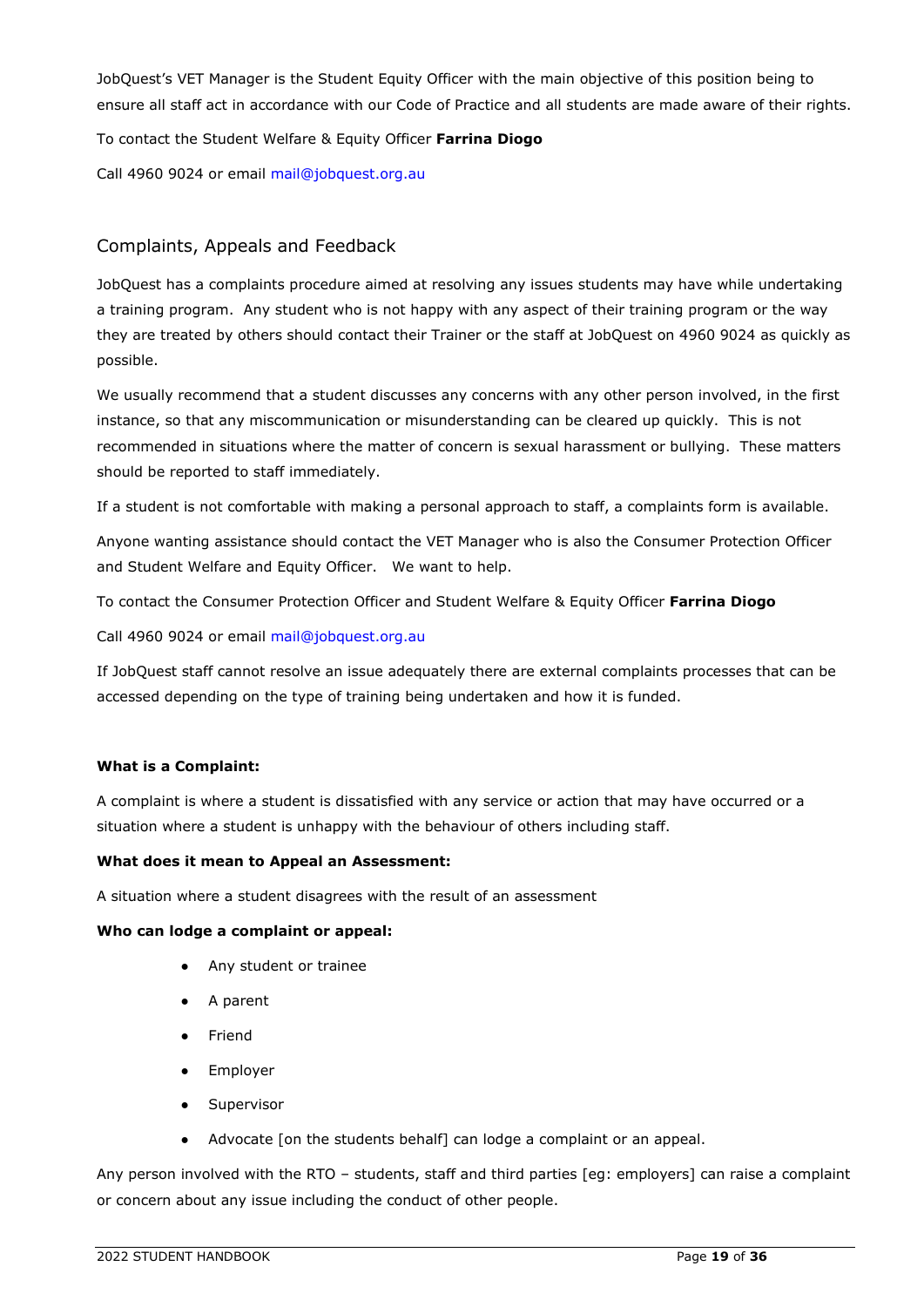JobQuest's VET Manager is the Student Equity Officer with the main objective of this position being to ensure all staff act in accordance with our Code of Practice and all students are made aware of their rights.

To contact the Student Welfare & Equity Officer **Farrina Diogo**

Call 4960 9024 or email [mail@jobquest.org.au](mailto:mail@jobquest.org.au)

# <span id="page-22-0"></span>Complaints, Appeals and Feedback

JobQuest has a complaints procedure aimed at resolving any issues students may have while undertaking a training program. Any student who is not happy with any aspect of their training program or the way they are treated by others should contact their Trainer or the staff at JobQuest on 4960 9024 as quickly as possible.

We usually recommend that a student discusses any concerns with any other person involved, in the first instance, so that any miscommunication or misunderstanding can be cleared up quickly. This is not recommended in situations where the matter of concern is sexual harassment or bullying. These matters should be reported to staff immediately.

If a student is not comfortable with making a personal approach to staff, a complaints form is available.

Anyone wanting assistance should contact the VET Manager who is also the Consumer Protection Officer and Student Welfare and Equity Officer. We want to help.

To contact the Consumer Protection Officer and Student Welfare & Equity Officer **Farrina Diogo**

Call 4960 9024 or email [mail@jobquest.org.au](mailto:mail@jobquest.org.au)

If JobQuest staff cannot resolve an issue adequately there are external complaints processes that can be accessed depending on the type of training being undertaken and how it is funded.

#### **What is a Complaint:**

A complaint is where a student is dissatisfied with any service or action that may have occurred or a situation where a student is unhappy with the behaviour of others including staff.

#### **What does it mean to Appeal an Assessment:**

A situation where a student disagrees with the result of an assessment

#### **Who can lodge a complaint or appeal:**

- Any student or trainee
- A parent
- Friend
- Employer
- Supervisor
- Advocate [on the students behalf] can lodge a complaint or an appeal.

Any person involved with the RTO – students, staff and third parties [eg: employers] can raise a complaint or concern about any issue including the conduct of other people.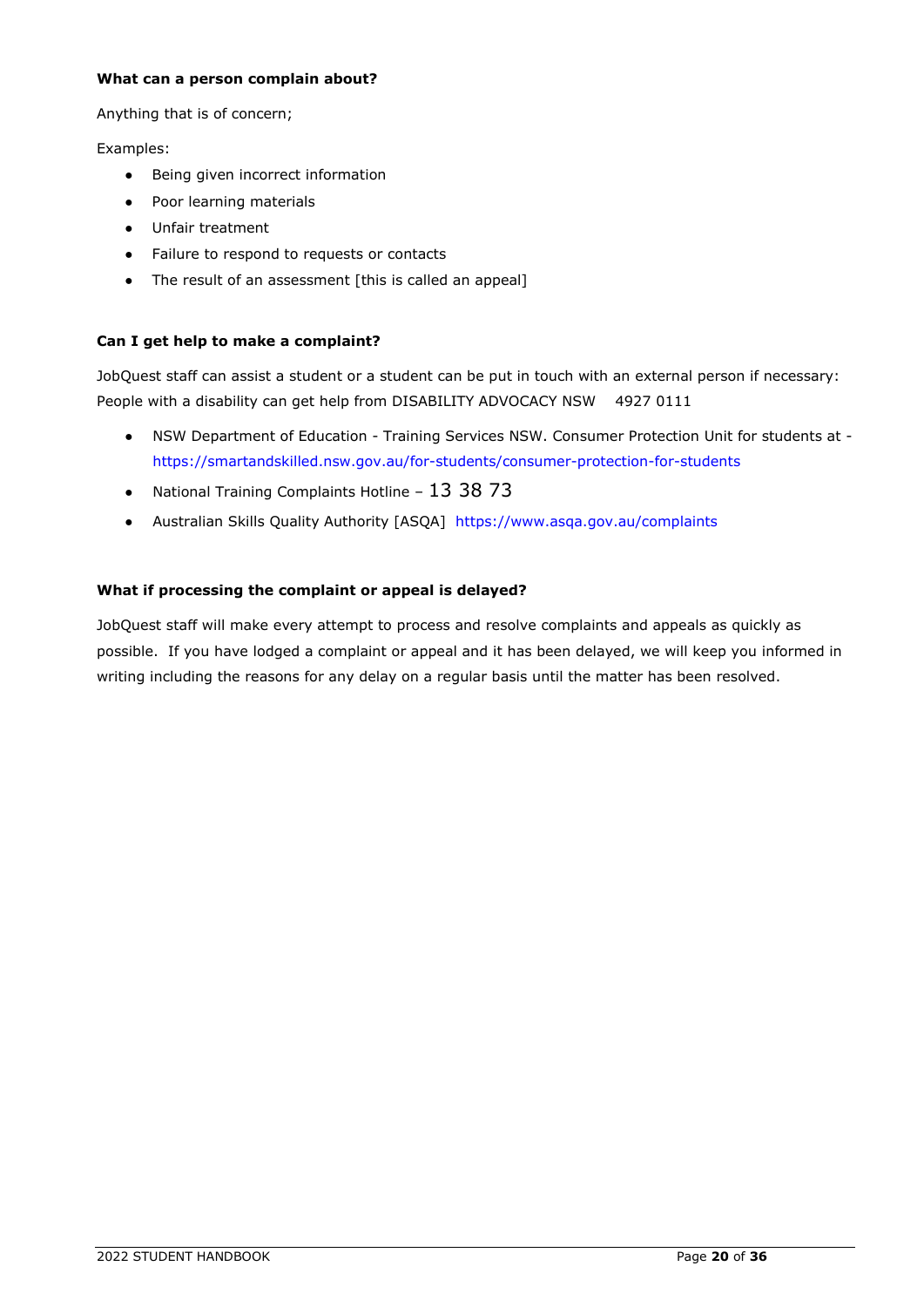#### **What can a person complain about?**

Anything that is of concern;

Examples:

- Being given incorrect information
- Poor learning materials
- Unfair treatment
- Failure to respond to requests or contacts
- The result of an assessment [this is called an appeal]

#### **Can I get help to make a complaint?**

JobQuest staff can assist a student or a student can be put in touch with an external person if necessary: People with a disability can get help from DISABILITY ADVOCACY NSW 4927 0111

- NSW Department of Education Training Services NSW. Consumer Protection Unit for students at <https://smartandskilled.nsw.gov.au/for-students/consumer-protection-for-students>
- National Training Complaints Hotline  $13\,38\,73$
- Australian Skills Quality Authority [ASQA] <https://www.asqa.gov.au/complaints>

#### **What if processing the complaint or appeal is delayed?**

JobQuest staff will make every attempt to process and resolve complaints and appeals as quickly as possible. If you have lodged a complaint or appeal and it has been delayed, we will keep you informed in writing including the reasons for any delay on a regular basis until the matter has been resolved.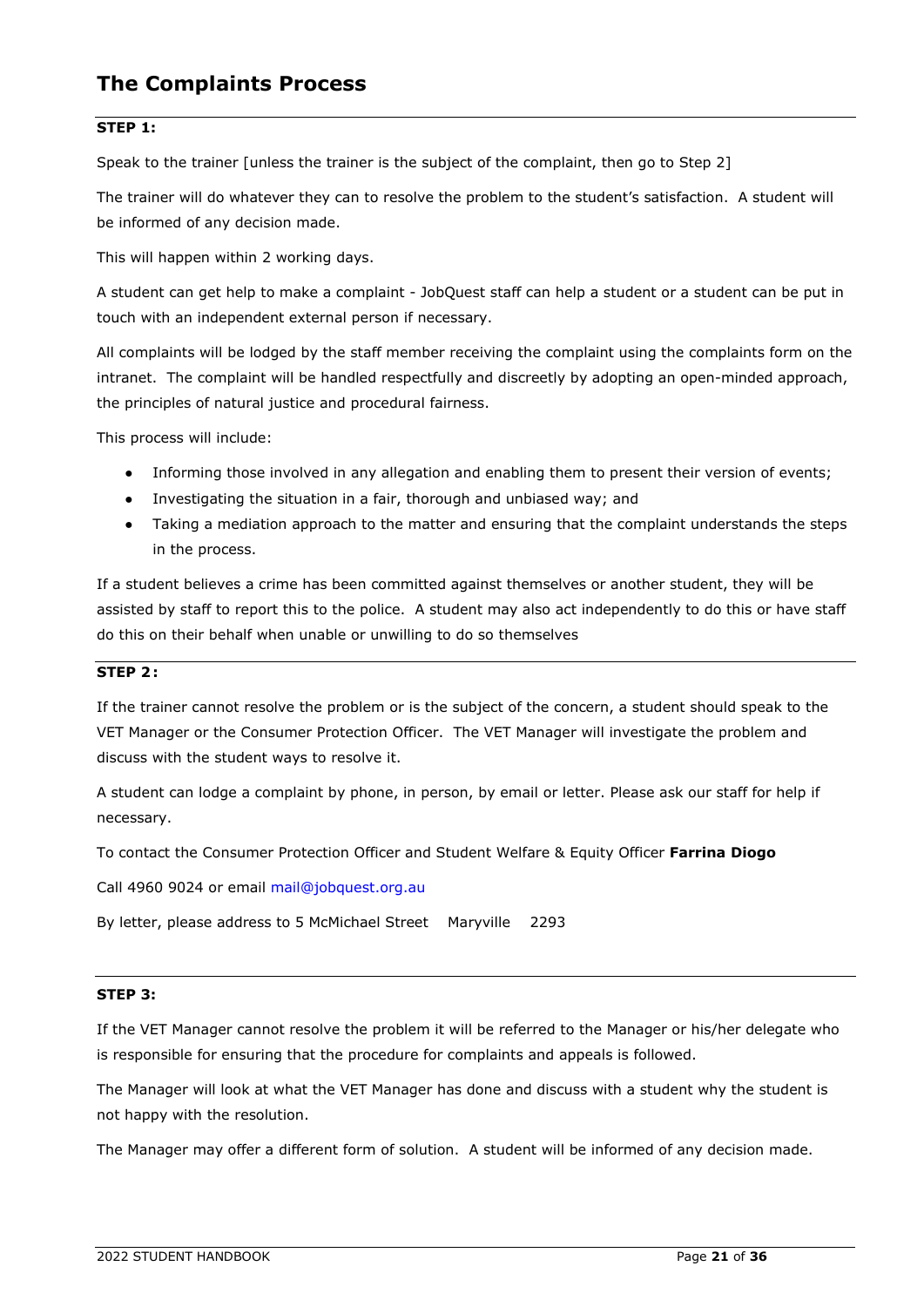# **The Complaints Process**

#### **STEP 1:**

Speak to the trainer [unless the trainer is the subject of the complaint, then go to Step 2]

The trainer will do whatever they can to resolve the problem to the student's satisfaction. A student will be informed of any decision made.

This will happen within 2 working days.

A student can get help to make a complaint - JobQuest staff can help a student or a student can be put in touch with an independent external person if necessary.

All complaints will be lodged by the staff member receiving the complaint using the complaints form on the intranet. The complaint will be handled respectfully and discreetly by adopting an open-minded approach, the principles of natural justice and procedural fairness.

This process will include:

- Informing those involved in any allegation and enabling them to present their version of events;
- Investigating the situation in a fair, thorough and unbiased way; and
- Taking a mediation approach to the matter and ensuring that the complaint understands the steps in the process.

If a student believes a crime has been committed against themselves or another student, they will be assisted by staff to report this to the police. A student may also act independently to do this or have staff do this on their behalf when unable or unwilling to do so themselves

#### **STEP 2:**

If the trainer cannot resolve the problem or is the subject of the concern, a student should speak to the VET Manager or the Consumer Protection Officer. The VET Manager will investigate the problem and discuss with the student ways to resolve it.

A student can lodge a complaint by phone, in person, by email or letter. Please ask our staff for help if necessary.

To contact the Consumer Protection Officer and Student Welfare & Equity Officer **Farrina Diogo**

Call 4960 9024 or email [mail@jobquest.org.au](mailto:mail@jobquest.org.au)

By letter, please address to 5 McMichael Street Maryville 2293

#### **STEP 3:**

If the VET Manager cannot resolve the problem it will be referred to the Manager or his/her delegate who is responsible for ensuring that the procedure for complaints and appeals is followed.

The Manager will look at what the VET Manager has done and discuss with a student why the student is not happy with the resolution.

The Manager may offer a different form of solution. A student will be informed of any decision made.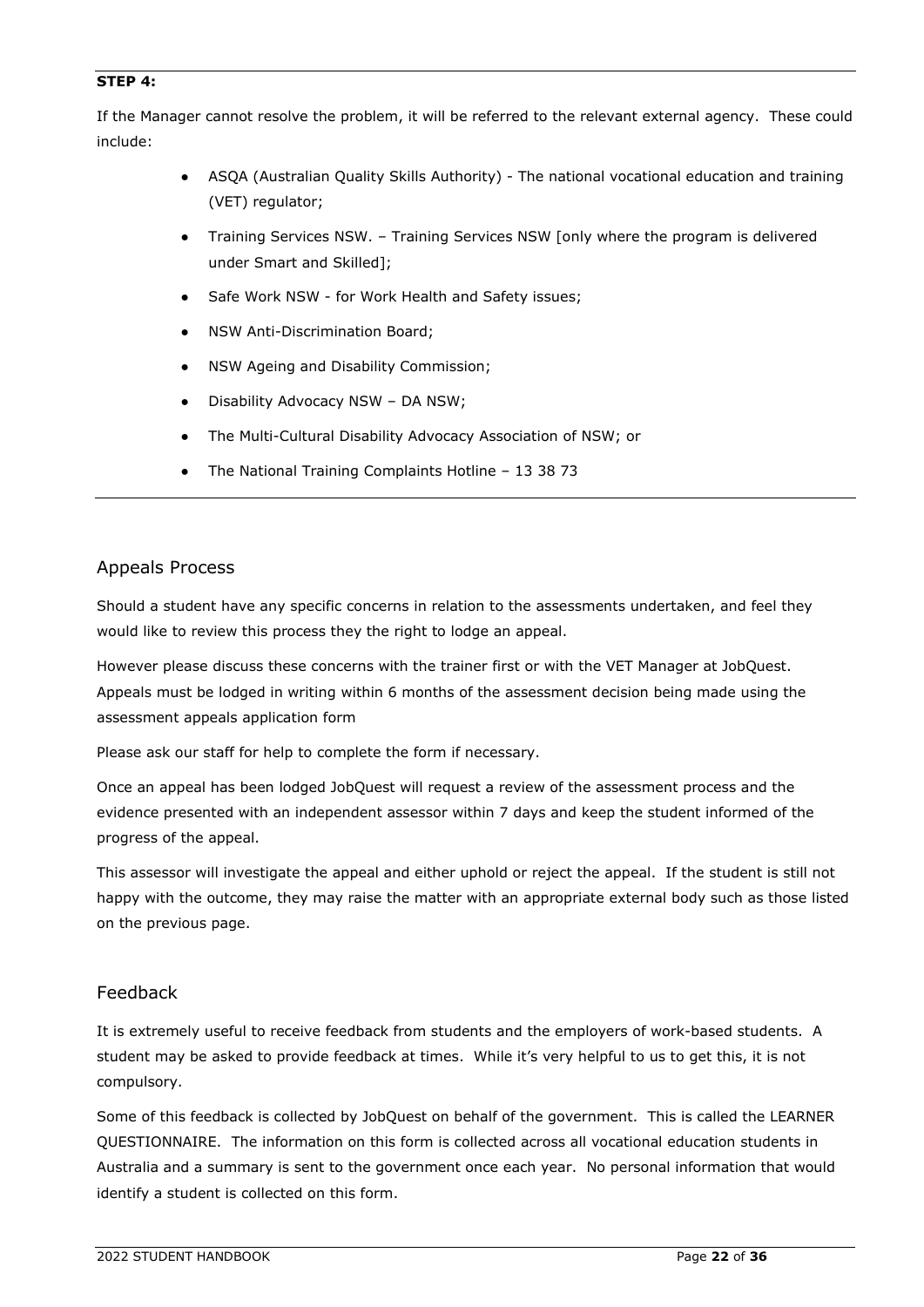#### **STEP 4:**

If the Manager cannot resolve the problem, it will be referred to the relevant external agency. These could include:

- ASQA (Australian Quality Skills Authority) The national vocational education and training (VET) regulator;
- Training Services NSW. Training Services NSW [only where the program is delivered under Smart and Skilled];
- Safe Work NSW for Work Health and Safety issues;
- NSW Anti-Discrimination Board;
- NSW Ageing and Disability Commission;
- Disability Advocacy NSW DA NSW;
- The Multi-Cultural Disability Advocacy Association of NSW; or
- The National Training Complaints Hotline 13 38 73

#### <span id="page-25-0"></span>Appeals Process

Should a student have any specific concerns in relation to the assessments undertaken, and feel they would like to review this process they the right to lodge an appeal.

However please discuss these concerns with the trainer first or with the VET Manager at JobQuest. Appeals must be lodged in writing within 6 months of the assessment decision being made using the assessment appeals application form

Please ask our staff for help to complete the form if necessary.

Once an appeal has been lodged JobQuest will request a review of the assessment process and the evidence presented with an independent assessor within 7 days and keep the student informed of the progress of the appeal.

This assessor will investigate the appeal and either uphold or reject the appeal. If the student is still not happy with the outcome, they may raise the matter with an appropriate external body such as those listed on the previous page.

### <span id="page-25-1"></span>Feedback

It is extremely useful to receive feedback from students and the employers of work-based students. A student may be asked to provide feedback at times. While it's very helpful to us to get this, it is not compulsory.

Some of this feedback is collected by JobQuest on behalf of the government. This is called the LEARNER QUESTIONNAIRE. The information on this form is collected across all vocational education students in Australia and a summary is sent to the government once each year. No personal information that would identify a student is collected on this form.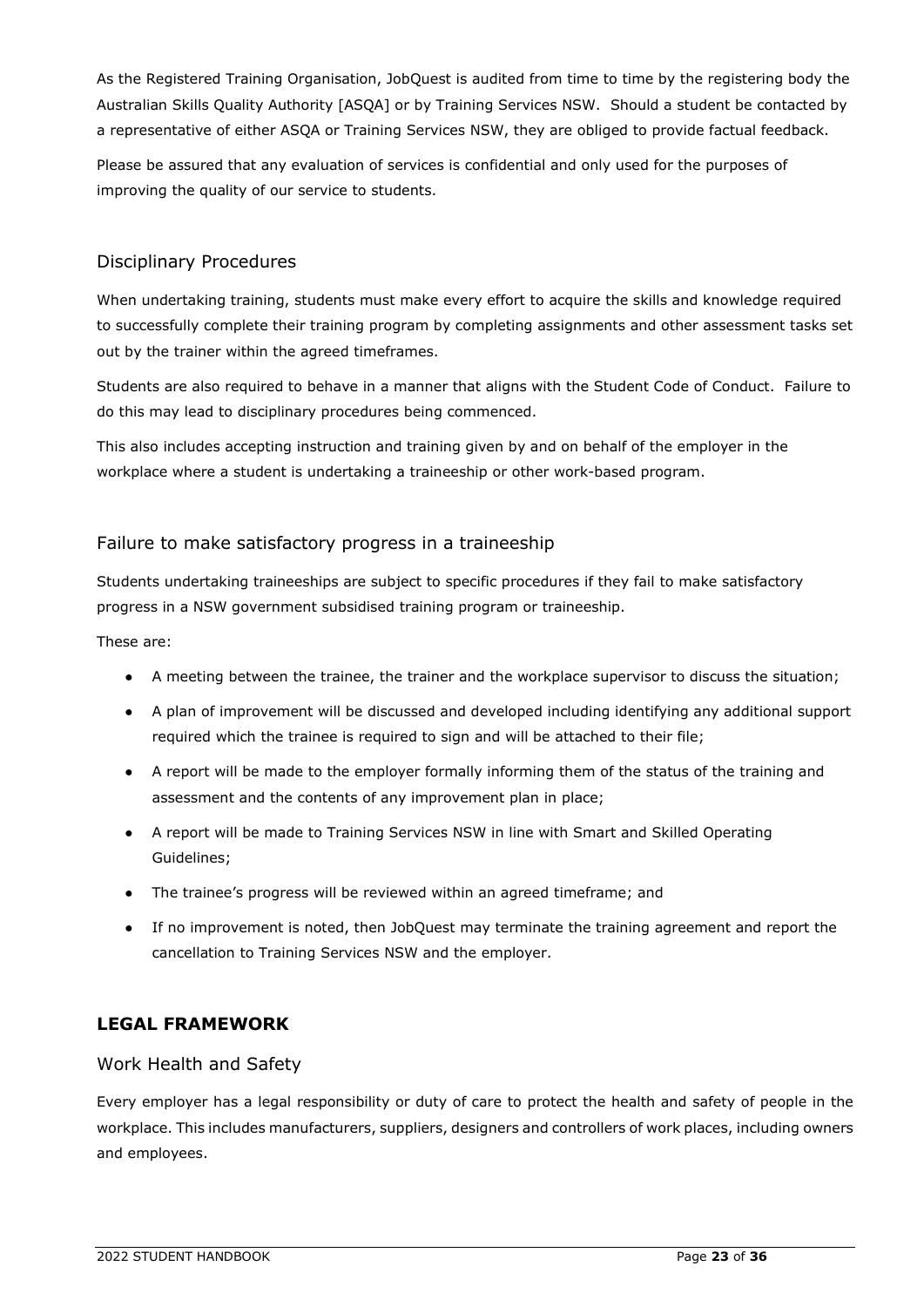As the Registered Training Organisation, JobQuest is audited from time to time by the registering body the Australian Skills Quality Authority [ASQA] or by Training Services NSW. Should a student be contacted by a representative of either ASQA or Training Services NSW, they are obliged to provide factual feedback.

Please be assured that any evaluation of services is confidential and only used for the purposes of improving the quality of our service to students.

# <span id="page-26-0"></span>Disciplinary Procedures

When undertaking training, students must make every effort to acquire the skills and knowledge required to successfully complete their training program by completing assignments and other assessment tasks set out by the trainer within the agreed timeframes.

Students are also required to behave in a manner that aligns with the Student Code of Conduct. Failure to do this may lead to disciplinary procedures being commenced.

This also includes accepting instruction and training given by and on behalf of the employer in the workplace where a student is undertaking a traineeship or other work-based program.

# <span id="page-26-1"></span>Failure to make satisfactory progress in a traineeship

Students undertaking traineeships are subject to specific procedures if they fail to make satisfactory progress in a NSW government subsidised training program or traineeship.

These are:

- A meeting between the trainee, the trainer and the workplace supervisor to discuss the situation;
- A plan of improvement will be discussed and developed including identifying any additional support required which the trainee is required to sign and will be attached to their file;
- A report will be made to the employer formally informing them of the status of the training and assessment and the contents of any improvement plan in place;
- A report will be made to Training Services NSW in line with Smart and Skilled Operating Guidelines;
- The trainee's progress will be reviewed within an agreed timeframe; and
- If no improvement is noted, then JobQuest may terminate the training agreement and report the cancellation to Training Services NSW and the employer.

# <span id="page-26-2"></span>**LEGAL FRAMEWORK**

#### <span id="page-26-3"></span>Work Health and Safety

Every employer has a legal responsibility or duty of care to protect the health and safety of people in the workplace. This includes manufacturers, suppliers, designers and controllers of work places, including owners and employees.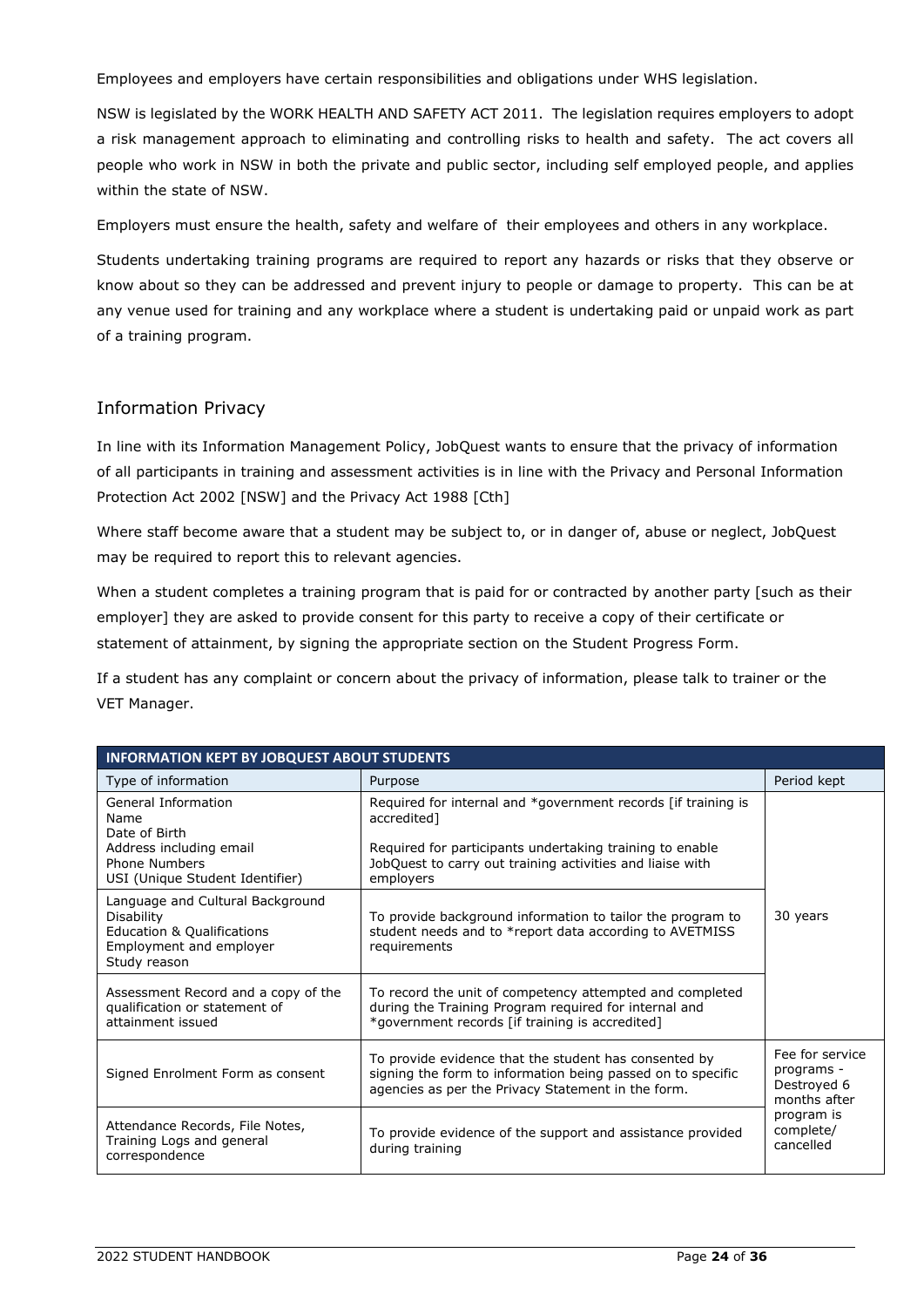Employees and employers have certain responsibilities and obligations under WHS legislation.

NSW is legislated by the WORK HEALTH AND SAFETY ACT 2011. The legislation requires employers to adopt a risk management approach to eliminating and controlling risks to health and safety. The act covers all people who work in NSW in both the private and public sector, including self employed people, and applies within the state of NSW.

Employers must ensure the health, safety and welfare of their employees and others in any workplace.

Students undertaking training programs are required to report any hazards or risks that they observe or know about so they can be addressed and prevent injury to people or damage to property. This can be at any venue used for training and any workplace where a student is undertaking paid or unpaid work as part of a training program.

#### <span id="page-27-0"></span>Information Privacy

In line with its Information Management Policy, JobQuest wants to ensure that the privacy of information of all participants in training and assessment activities is in line with the Privacy and Personal Information Protection Act 2002 [NSW] and the Privacy Act 1988 [Cth]

Where staff become aware that a student may be subject to, or in danger of, abuse or neglect, JobQuest may be required to report this to relevant agencies.

When a student completes a training program that is paid for or contracted by another party [such as their employer] they are asked to provide consent for this party to receive a copy of their certificate or statement of attainment, by signing the appropriate section on the Student Progress Form.

If a student has any complaint or concern about the privacy of information, please talk to trainer or the VET Manager.

| <b>INFORMATION KEPT BY JOBQUEST ABOUT STUDENTS</b>                                                                                 |                                                                                                                                                                                                                    |                                                                                                      |  |
|------------------------------------------------------------------------------------------------------------------------------------|--------------------------------------------------------------------------------------------------------------------------------------------------------------------------------------------------------------------|------------------------------------------------------------------------------------------------------|--|
| Type of information                                                                                                                | Purpose                                                                                                                                                                                                            | Period kept                                                                                          |  |
| General Information<br>Name<br>Date of Birth<br>Address including email<br><b>Phone Numbers</b><br>USI (Unique Student Identifier) | Required for internal and *government records [if training is<br>accredited]<br>Required for participants undertaking training to enable<br>JobQuest to carry out training activities and liaise with<br>employers |                                                                                                      |  |
| Language and Cultural Background<br>Disability<br><b>Education &amp; Qualifications</b><br>Employment and employer<br>Study reason | To provide background information to tailor the program to<br>student needs and to *report data according to AVETMISS<br>requirements                                                                              | 30 years                                                                                             |  |
| Assessment Record and a copy of the<br>qualification or statement of<br>attainment issued                                          | To record the unit of competency attempted and completed<br>during the Training Program required for internal and<br>*government records [if training is accredited]                                               |                                                                                                      |  |
| Signed Enrolment Form as consent                                                                                                   | To provide evidence that the student has consented by<br>signing the form to information being passed on to specific<br>agencies as per the Privacy Statement in the form.                                         | Fee for service<br>programs -<br>Destroyed 6<br>months after<br>program is<br>complete/<br>cancelled |  |
| Attendance Records, File Notes,<br>Training Logs and general<br>correspondence                                                     | To provide evidence of the support and assistance provided<br>during training                                                                                                                                      |                                                                                                      |  |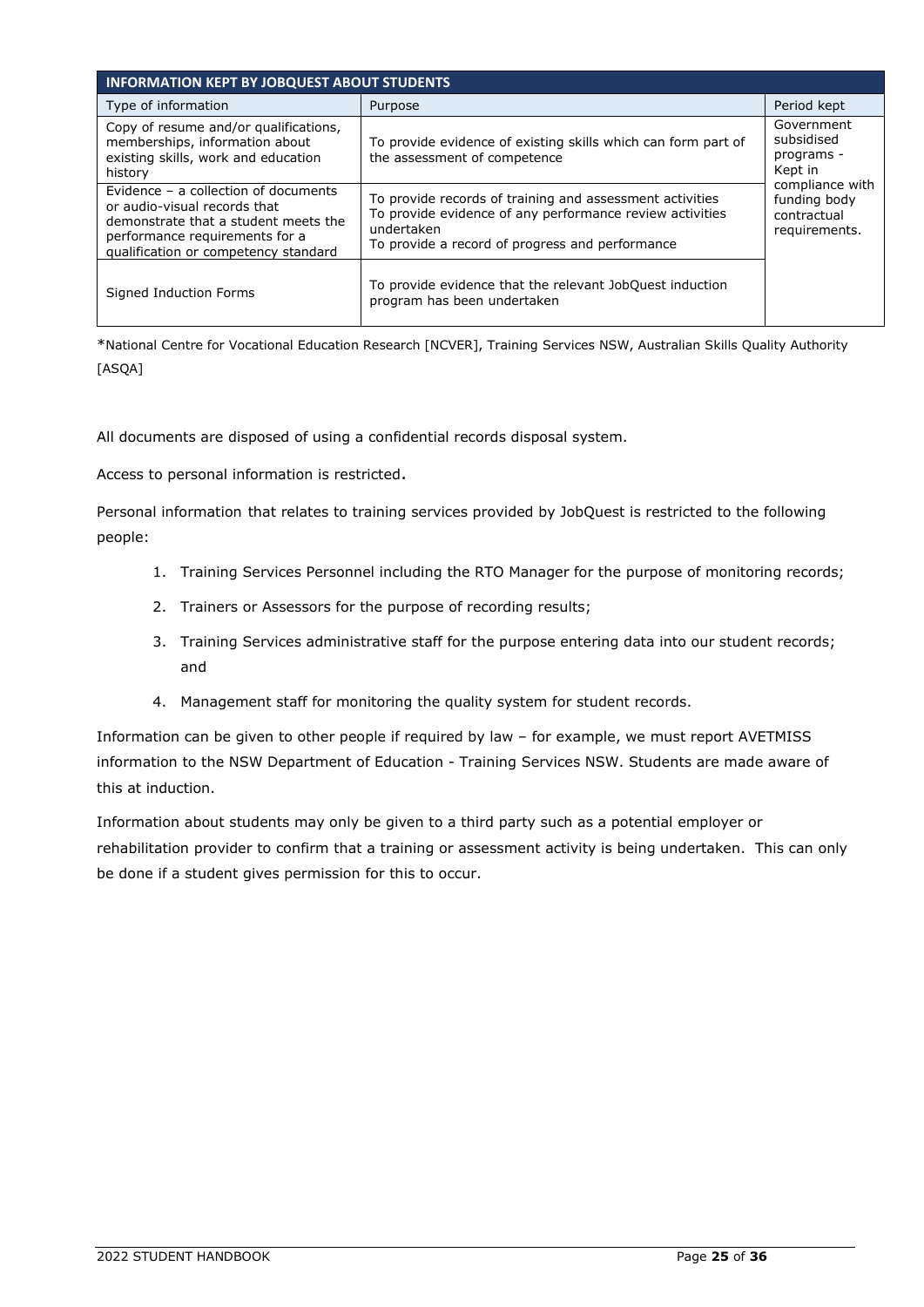| <b>INFORMATION KEPT BY JOBQUEST ABOUT STUDENTS</b>                                                                                                                                     |                                                                                                                                                                                       |                                                                                                                      |  |
|----------------------------------------------------------------------------------------------------------------------------------------------------------------------------------------|---------------------------------------------------------------------------------------------------------------------------------------------------------------------------------------|----------------------------------------------------------------------------------------------------------------------|--|
| Type of information                                                                                                                                                                    | Purpose                                                                                                                                                                               | Period kept                                                                                                          |  |
| Copy of resume and/or qualifications,<br>memberships, information about<br>existing skills, work and education<br>history                                                              | To provide evidence of existing skills which can form part of<br>the assessment of competence                                                                                         | Government<br>subsidised<br>programs -<br>Kept in<br>compliance with<br>funding body<br>contractual<br>requirements. |  |
| Evidence – a collection of documents<br>or audio-visual records that<br>demonstrate that a student meets the<br>performance requirements for a<br>qualification or competency standard | To provide records of training and assessment activities<br>To provide evidence of any performance review activities<br>undertaken<br>To provide a record of progress and performance |                                                                                                                      |  |
| Signed Induction Forms                                                                                                                                                                 | To provide evidence that the relevant JobQuest induction<br>program has been undertaken                                                                                               |                                                                                                                      |  |

\*National Centre for Vocational Education Research [NCVER], Training Services NSW, Australian Skills Quality Authority [ASQA]

All documents are disposed of using a confidential records disposal system.

Access to personal information is restricted.

Personal information that relates to training services provided by JobQuest is restricted to the following people:

- 1. Training Services Personnel including the RTO Manager for the purpose of monitoring records;
- 2. Trainers or Assessors for the purpose of recording results;
- 3. Training Services administrative staff for the purpose entering data into our student records; and
- 4. Management staff for monitoring the quality system for student records.

Information can be given to other people if required by law – for example, we must report AVETMISS information to the NSW Department of Education - Training Services NSW. Students are made aware of this at induction.

Information about students may only be given to a third party such as a potential employer or rehabilitation provider to confirm that a training or assessment activity is being undertaken. This can only be done if a student gives permission for this to occur.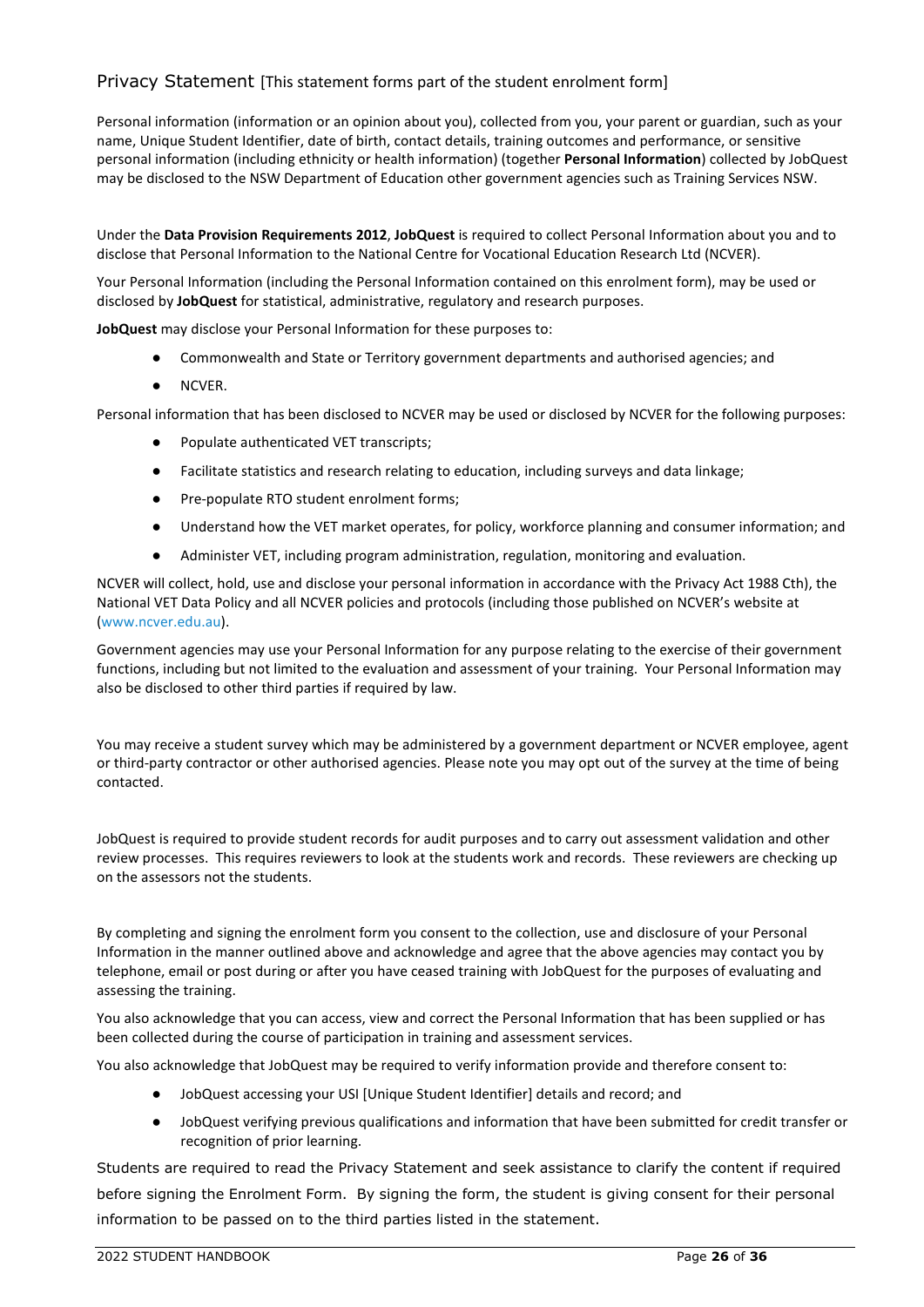#### <span id="page-29-0"></span>Privacy Statement [This statement forms part of the student enrolment form]

Personal information (information or an opinion about you), collected from you, your parent or guardian, such as your name, Unique Student Identifier, date of birth, contact details, training outcomes and performance, or sensitive personal information (including ethnicity or health information) (together **Personal Information**) collected by JobQuest may be disclosed to the NSW Department of Education other government agencies such as Training Services NSW.

Under the **Data Provision Requirements 2012**, **JobQuest** is required to collect Personal Information about you and to disclose that Personal Information to the National Centre for Vocational Education Research Ltd (NCVER).

Your Personal Information (including the Personal Information contained on this enrolment form), may be used or disclosed by **JobQuest** for statistical, administrative, regulatory and research purposes.

**JobQuest** may disclose your Personal Information for these purposes to:

- Commonwealth and State or Territory government departments and authorised agencies; and
- NCVER.

Personal information that has been disclosed to NCVER may be used or disclosed by NCVER for the following purposes:

- Populate authenticated VET transcripts;
- Facilitate statistics and research relating to education, including surveys and data linkage;
- Pre-populate RTO student enrolment forms;
- Understand how the VET market operates, for policy, workforce planning and consumer information; and
- Administer VET, including program administration, regulation, monitoring and evaluation.

NCVER will collect, hold, use and disclose your personal information in accordance with the Privacy Act 1988 Cth), the National VET Data Policy and all NCVER policies and protocols (including those published on NCVER's website at [\(www.ncver.edu.au\)](https://www.ncver.edu.au/).

Government agencies may use your Personal Information for any purpose relating to the exercise of their government functions, including but not limited to the evaluation and assessment of your training. Your Personal Information may also be disclosed to other third parties if required by law.

You may receive a student survey which may be administered by a government department or NCVER employee, agent or third-party contractor or other authorised agencies. Please note you may opt out of the survey at the time of being contacted.

JobQuest is required to provide student records for audit purposes and to carry out assessment validation and other review processes. This requires reviewers to look at the students work and records. These reviewers are checking up on the assessors not the students.

By completing and signing the enrolment form you consent to the collection, use and disclosure of your Personal Information in the manner outlined above and acknowledge and agree that the above agencies may contact you by telephone, email or post during or after you have ceased training with JobQuest for the purposes of evaluating and assessing the training.

You also acknowledge that you can access, view and correct the Personal Information that has been supplied or has been collected during the course of participation in training and assessment services.

You also acknowledge that JobQuest may be required to verify information provide and therefore consent to:

- JobQuest accessing your USI [Unique Student Identifier] details and record; and
- JobQuest verifying previous qualifications and information that have been submitted for credit transfer or recognition of prior learning.

Students are required to read the Privacy Statement and seek assistance to clarify the content if required before signing the Enrolment Form. By signing the form, the student is giving consent for their personal information to be passed on to the third parties listed in the statement.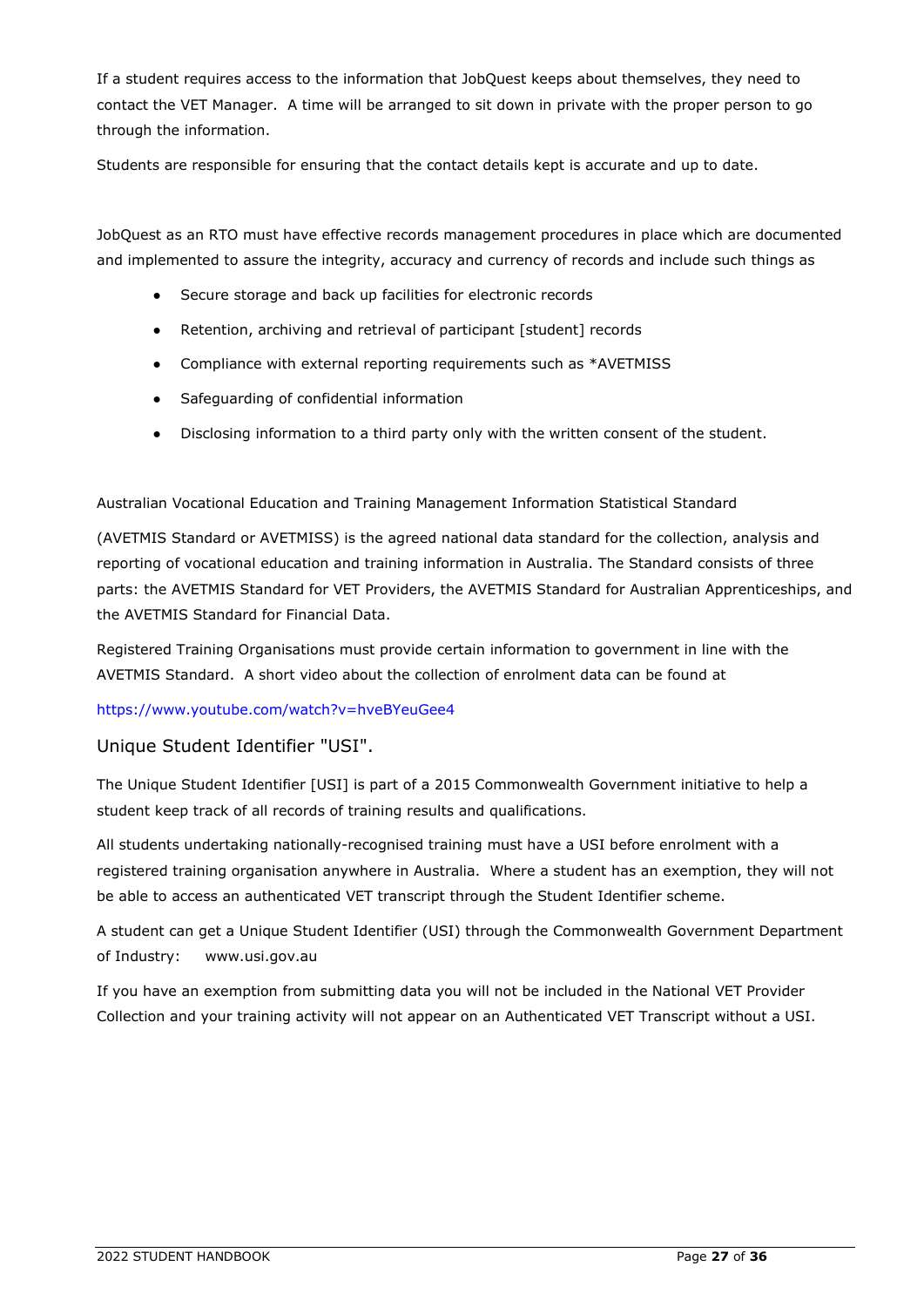If a student requires access to the information that JobQuest keeps about themselves, they need to contact the VET Manager. A time will be arranged to sit down in private with the proper person to go through the information.

Students are responsible for ensuring that the contact details kept is accurate and up to date.

JobQuest as an RTO must have effective records management procedures in place which are documented and implemented to assure the integrity, accuracy and currency of records and include such things as

- Secure storage and back up facilities for electronic records
- Retention, archiving and retrieval of participant [student] records
- Compliance with external reporting requirements such as \*AVETMISS
- Safeguarding of confidential information
- Disclosing information to a third party only with the written consent of the student.

#### Australian Vocational Education and Training Management Information Statistical Standard

(AVETMIS Standard or AVETMISS) is the agreed national data standard for the collection, analysis and reporting of vocational education and training information in Australia. The Standard consists of three parts: the AVETMIS Standard for VET Providers, the AVETMIS Standard for Australian Apprenticeships, and the AVETMIS Standard for Financial Data.

Registered Training Organisations must provide certain information to government in line with the AVETMIS Standard. A short video about the collection of enrolment data can be found at

#### <https://www.youtube.com/watch?v=hveBYeuGee4>

#### <span id="page-30-0"></span>Unique Student Identifier "USI".

The Unique Student Identifier [USI] is part of a 2015 Commonwealth Government initiative to help a student keep track of all records of training results and qualifications.

All students undertaking nationally-recognised training must have a USI before enrolment with a registered training organisation anywhere in Australia. Where a student has an exemption, they will not be able to access an authenticated VET transcript through the Student Identifier scheme.

A student can get a Unique Student Identifier (USI) through the Commonwealth Government Department of Industry: www.usi.gov.au

If you have an exemption from submitting data you will not be included in the National VET Provider Collection and your training activity will not appear on an Authenticated VET Transcript without a USI.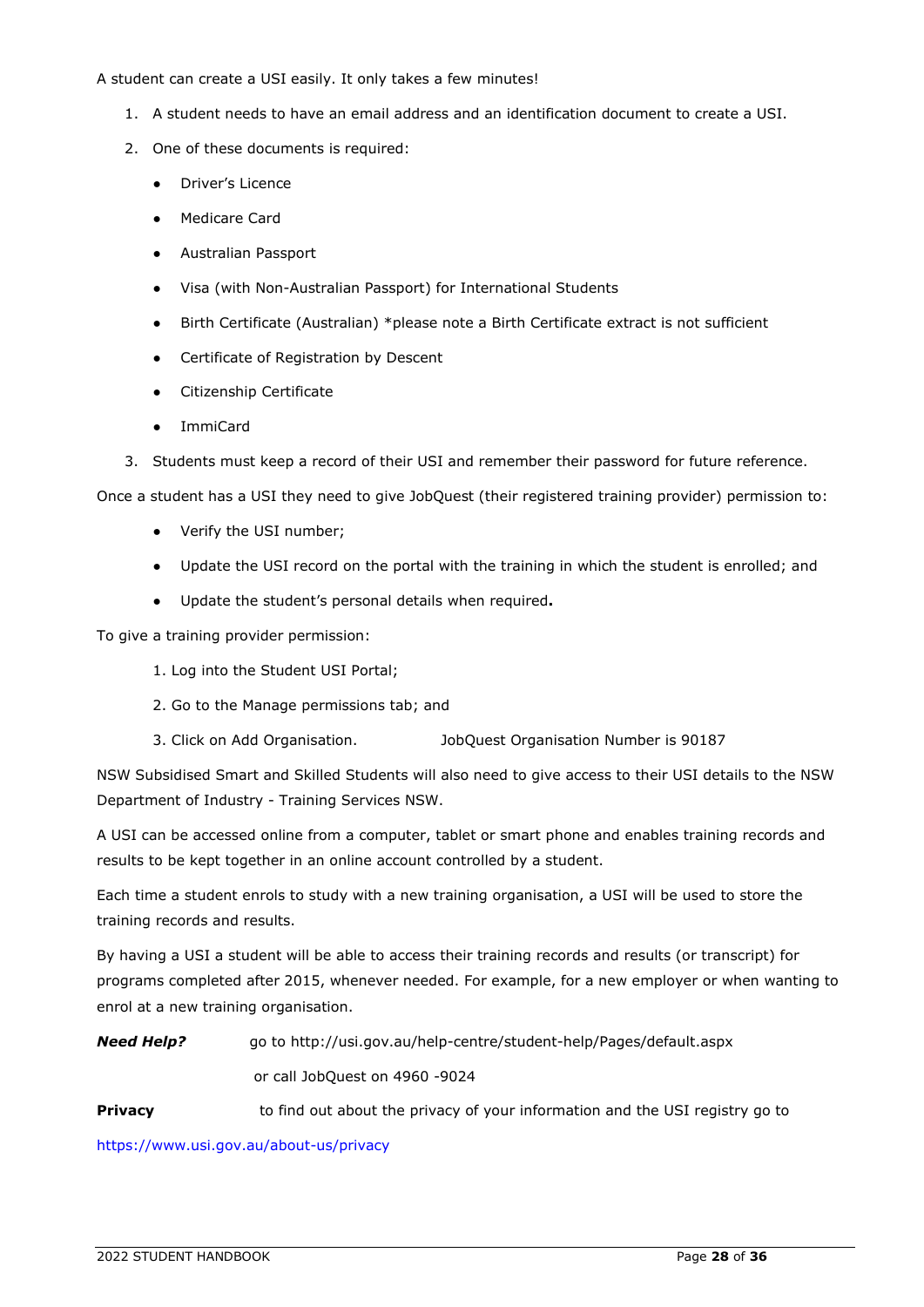#### A student can create a USI easily. It only takes a few minutes!

- 1. A student needs to have an email address and an identification document to create a USI.
- 2. One of these documents is required:
	- Driver's Licence
	- Medicare Card
	- Australian Passport
	- Visa (with Non-Australian Passport) for International Students
	- Birth Certificate (Australian) \*please note a Birth Certificate extract is not sufficient
	- Certificate of Registration by Descent
	- Citizenship Certificate
	- ImmiCard
- 3. Students must keep a record of their USI and remember their password for future reference.

Once a student has a USI they need to give JobQuest (their registered training provider) permission to:

- Verify the USI number;
- Update the USI record on the portal with the training in which the student is enrolled; and
- Update the student's personal details when required**.**

To give a training provider permission:

- 1. Log into the Student USI Portal;
- 2. Go to the Manage permissions tab; and
- 3. Click on Add Organisation. JobQuest Organisation Number is 90187

NSW Subsidised Smart and Skilled Students will also need to give access to their USI details to the NSW Department of Industry - Training Services NSW.

A USI can be accessed online from a computer, tablet or smart phone and enables training records and results to be kept together in an online account controlled by a student.

Each time a student enrols to study with a new training organisation, a USI will be used to store the training records and results.

By having a USI a student will be able to access their training records and results (or transcript) for programs completed after 2015, whenever needed. For example, for a new employer or when wanting to enrol at a new training organisation.

*Need Help?* go to http://usi.gov.au/help-centre/student-help/Pages/default.aspx or call JobQuest on 4960 -9024

**Privacy to find out about the privacy of your information and the USI registry go to** 

<https://www.usi.gov.au/about-us/privacy>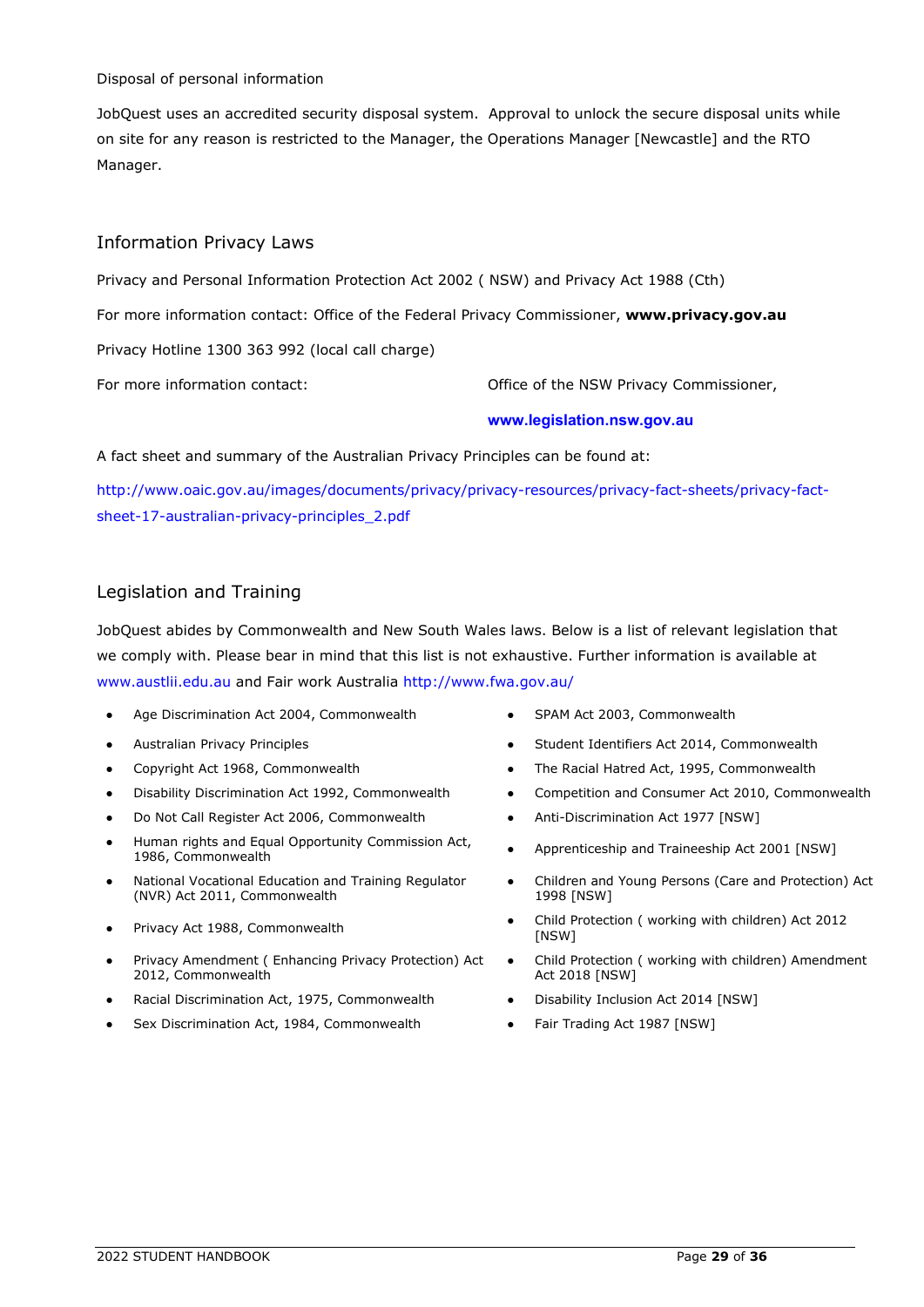#### Disposal of personal information

JobQuest uses an accredited security disposal system. Approval to unlock the secure disposal units while on site for any reason is restricted to the Manager, the Operations Manager [Newcastle] and the RTO Manager.

# <span id="page-32-0"></span>Information Privacy Laws

Privacy and Personal Information Protection Act 2002 ( NSW) and Privacy Act 1988 (Cth)

For more information contact: Office of the Federal Privacy Commissioner, **[www.privacy.gov.au](http://www.privacy.gov.au/)**

Privacy Hotline 1300 363 992 (local call charge)

For more information contact:  $\qquad \qquad$  Office of the NSW Privacy Commissioner,

#### **[www.legislation.nsw.gov.au](http://www.legislation.nsw.gov.au/)**

A fact sheet and summary of the Australian Privacy Principles can be found at:

[http://www.oaic.gov.au/images/documents/privacy/privacy-resources/privacy-fact-sheets/privacy-fact](http://www.oaic.gov.au/images/documents/privacy/privacy-resources/privacy-fact-sheets/privacy-fact-sheet-17-australian-privacy-principles_2.pdf)[sheet-17-australian-privacy-principles\\_2.pdf](http://www.oaic.gov.au/images/documents/privacy/privacy-resources/privacy-fact-sheets/privacy-fact-sheet-17-australian-privacy-principles_2.pdf)

# <span id="page-32-1"></span>Legislation and Training

JobQuest abides by Commonwealth and New South Wales laws. Below is a list of relevant legislation that we comply with. Please bear in mind that this list is not exhaustive. Further information is available at [www.austlii.edu.au](about:blank) and Fair work Australia<http://www.fwa.gov.au/>

- Age Discrimination Act 2004, Commonwealth **•** SPAM Act 2003, Commonwealth
- 
- 
- 
- Do Not Call Register Act 2006, Commonwealth Anti-Discrimination Act 1977 [NSW]
- Human rights and Equal Opportunity Commission Act, 1986, Commonwealth
- National Vocational Education and Training Regulator (NVR) Act 2011, Commonwealth
- 
- Privacy Amendment ( Enhancing Privacy Protection) Act 2012, Commonwealth
- Racial Discrimination Act, 1975, Commonwealth Disability Inclusion Act 2014 [NSW]
- Sex Discrimination Act, 1984, Commonwealth **•** Fair Trading Act 1987 [NSW]
- 
- Australian Privacy Principles Student Identifiers Act 2014, Commonwealth
- Copyright Act 1968, Commonwealth The Racial Hatred Act, 1995, Commonwealth
- Disability Discrimination Act 1992, Commonwealth **•** Competition and Consumer Act 2010, Commonwealth
	-
	- Apprenticeship and Traineeship Act 2001 [NSW]
	- Children and Young Persons (Care and Protection) Act 1998 [NSW]
- Privacy Act 1988, Commonwealth **•** Child Protection ( working with children) Act 2012 [NSW]
	- Child Protection ( working with children) Amendment Act 2018 [NSW]
	-
	-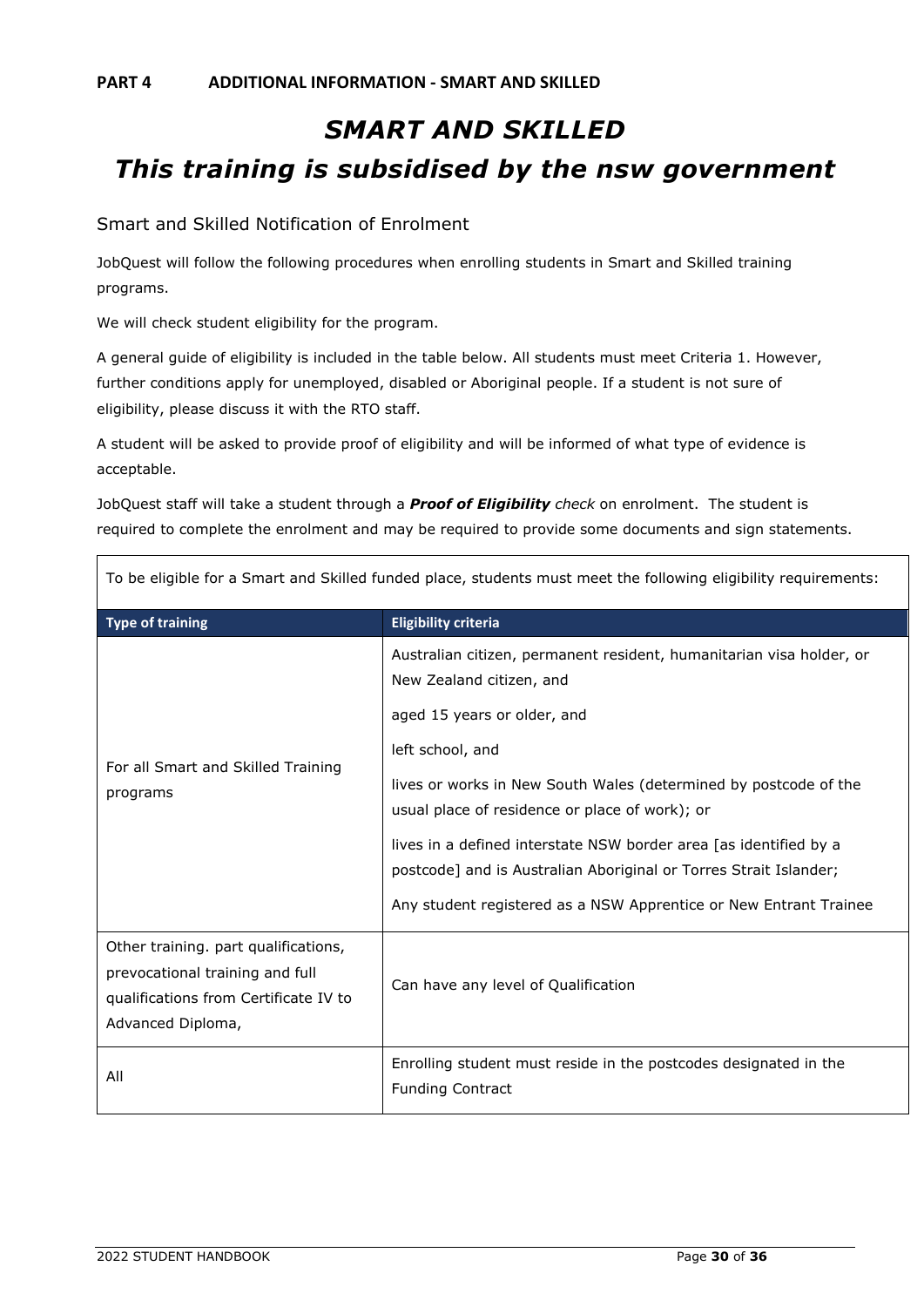# <span id="page-33-1"></span><span id="page-33-0"></span>*SMART AND SKILLED This training is subsidised by the nsw government*

# <span id="page-33-2"></span>Smart and Skilled Notification of Enrolment

JobQuest will follow the following procedures when enrolling students in Smart and Skilled training programs.

We will check student eligibility for the program.

A general guide of eligibility is included in the table below. All students must meet Criteria 1. However, further conditions apply for unemployed, disabled or Aboriginal people. If a student is not sure of eligibility, please discuss it with the RTO staff.

A student will be asked to provide proof of eligibility and will be informed of what type of evidence is acceptable.

JobQuest staff will take a student through a *Proof of Eligibility check* on enrolment. The student is required to complete the enrolment and may be required to provide some documents and sign statements.

<span id="page-33-3"></span>

| <b>Type of training</b>                                                                                                               | <b>Eligibility criteria</b>                                                                                                            |  |  |
|---------------------------------------------------------------------------------------------------------------------------------------|----------------------------------------------------------------------------------------------------------------------------------------|--|--|
|                                                                                                                                       | Australian citizen, permanent resident, humanitarian visa holder, or<br>New Zealand citizen, and                                       |  |  |
|                                                                                                                                       | aged 15 years or older, and                                                                                                            |  |  |
|                                                                                                                                       | left school, and                                                                                                                       |  |  |
| For all Smart and Skilled Training<br>programs                                                                                        | lives or works in New South Wales (determined by postcode of the<br>usual place of residence or place of work); or                     |  |  |
|                                                                                                                                       | lives in a defined interstate NSW border area [as identified by a<br>postcode] and is Australian Aboriginal or Torres Strait Islander; |  |  |
|                                                                                                                                       | Any student registered as a NSW Apprentice or New Entrant Trainee                                                                      |  |  |
| Other training. part qualifications,<br>prevocational training and full<br>qualifications from Certificate IV to<br>Advanced Diploma, | Can have any level of Qualification                                                                                                    |  |  |
| All                                                                                                                                   | Enrolling student must reside in the postcodes designated in the<br><b>Funding Contract</b>                                            |  |  |

To be eligible for a Smart and Skilled funded place, students must meet the following eligibility requirements: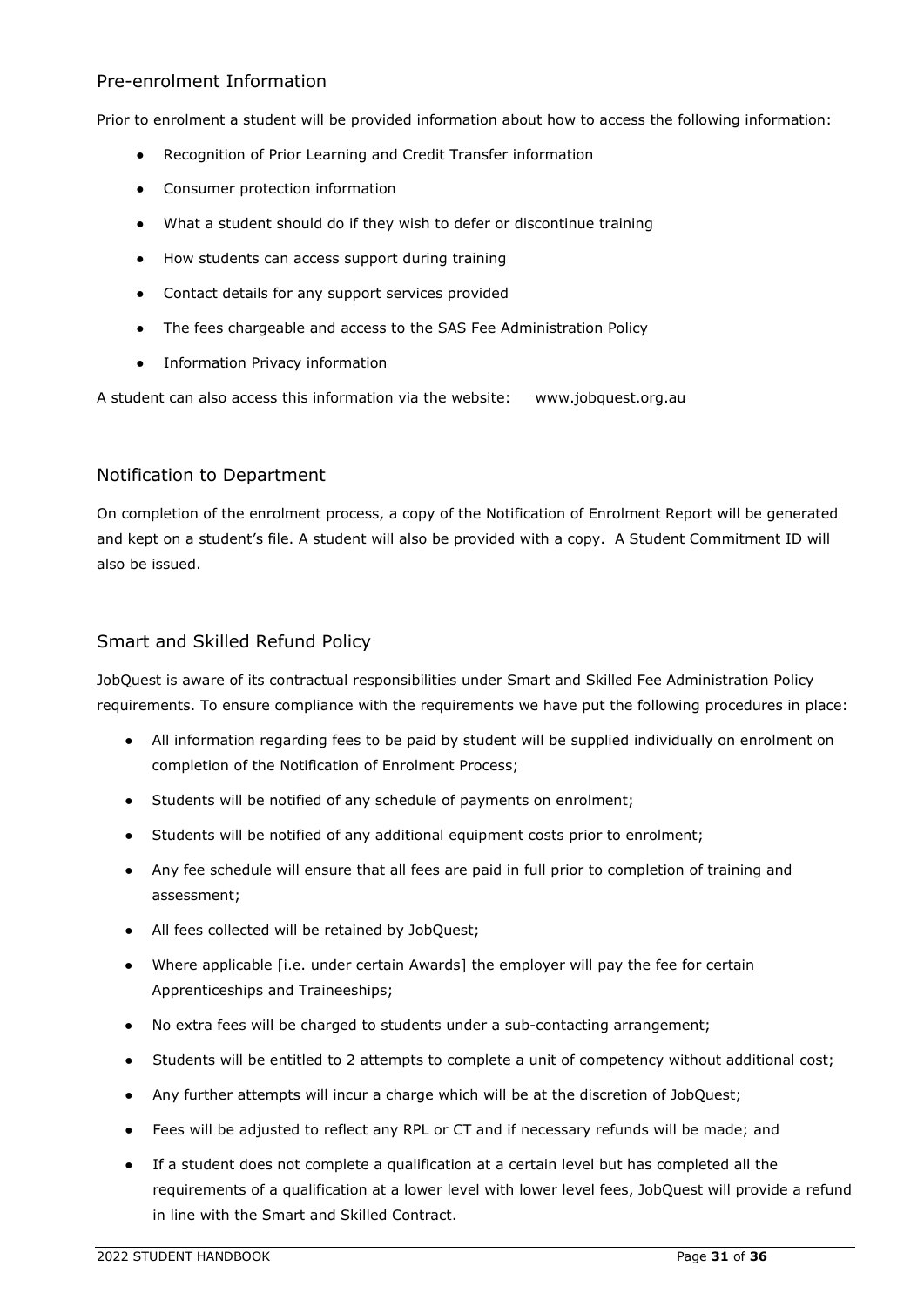#### Pre-enrolment Information

Prior to enrolment a student will be provided information about how to access the following information:

- Recognition of Prior Learning and Credit Transfer information
- Consumer protection information
- What a student should do if they wish to defer or discontinue training
- How students can access support during training
- Contact details for any support services provided
- The fees chargeable and access to the SAS Fee Administration Policy
- Information Privacy information

<span id="page-34-0"></span>A student can also access this information via the website: [www.jobquest.org.au](http://www.jobquest.org.au/)

### Notification to Department

On completion of the enrolment process, a copy of the Notification of Enrolment Report will be generated and kept on a student's file. A student will also be provided with a copy. A Student Commitment ID will also be issued.

### <span id="page-34-1"></span>Smart and Skilled Refund Policy

JobQuest is aware of its contractual responsibilities under Smart and Skilled Fee Administration Policy requirements. To ensure compliance with the requirements we have put the following procedures in place:

- All information regarding fees to be paid by student will be supplied individually on enrolment on completion of the Notification of Enrolment Process;
- Students will be notified of any schedule of payments on enrolment;
- Students will be notified of any additional equipment costs prior to enrolment;
- Any fee schedule will ensure that all fees are paid in full prior to completion of training and assessment;
- All fees collected will be retained by JobQuest;
- Where applicable [i.e. under certain Awards] the employer will pay the fee for certain Apprenticeships and Traineeships;
- No extra fees will be charged to students under a sub-contacting arrangement;
- Students will be entitled to 2 attempts to complete a unit of competency without additional cost;
- Any further attempts will incur a charge which will be at the discretion of JobQuest;
- Fees will be adjusted to reflect any RPL or CT and if necessary refunds will be made; and
- If a student does not complete a qualification at a certain level but has completed all the requirements of a qualification at a lower level with lower level fees, JobQuest will provide a refund in line with the Smart and Skilled Contract.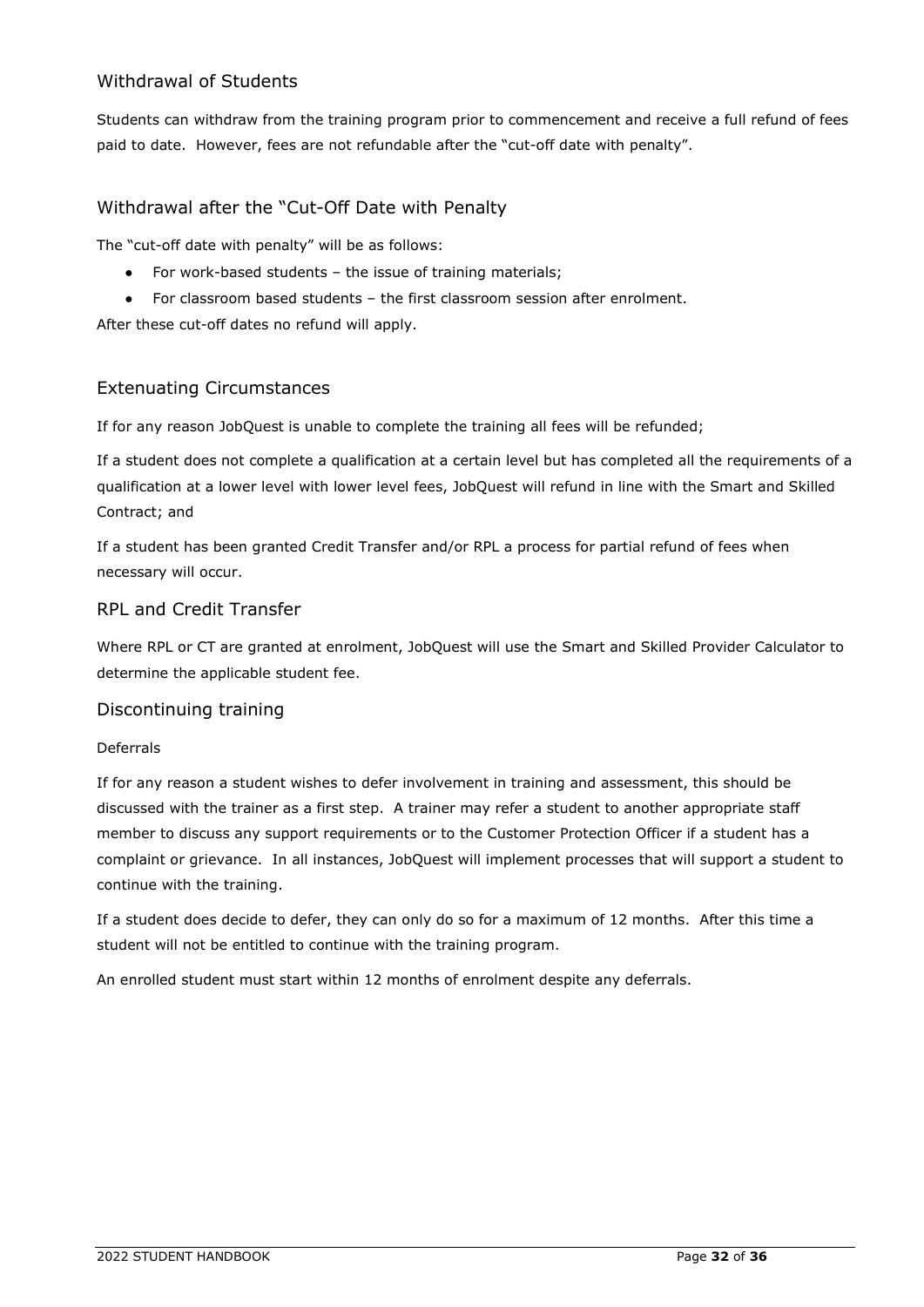# <span id="page-35-0"></span>Withdrawal of Students

Students can withdraw from the training program prior to commencement and receive a full refund of fees paid to date. However, fees are not refundable after the "cut-off date with penalty".

# <span id="page-35-1"></span>Withdrawal after the "Cut-Off Date with Penalty

The "cut-off date with penalty" will be as follows:

- For work-based students the issue of training materials;
- For classroom based students the first classroom session after enrolment.

After these cut-off dates no refund will apply.

### <span id="page-35-2"></span>Extenuating Circumstances

If for any reason JobQuest is unable to complete the training all fees will be refunded;

If a student does not complete a qualification at a certain level but has completed all the requirements of a qualification at a lower level with lower level fees, JobQuest will refund in line with the Smart and Skilled Contract; and

If a student has been granted Credit Transfer and/or RPL a process for partial refund of fees when necessary will occur.

# <span id="page-35-3"></span>RPL and Credit Transfer

Where RPL or CT are granted at enrolment, JobQuest will use the Smart and Skilled Provider Calculator to determine the applicable student fee.

### <span id="page-35-4"></span>Discontinuing training

#### Deferrals

If for any reason a student wishes to defer involvement in training and assessment, this should be discussed with the trainer as a first step. A trainer may refer a student to another appropriate staff member to discuss any support requirements or to the Customer Protection Officer if a student has a complaint or grievance. In all instances, JobQuest will implement processes that will support a student to continue with the training.

If a student does decide to defer, they can only do so for a maximum of 12 months. After this time a student will not be entitled to continue with the training program.

An enrolled student must start within 12 months of enrolment despite any deferrals.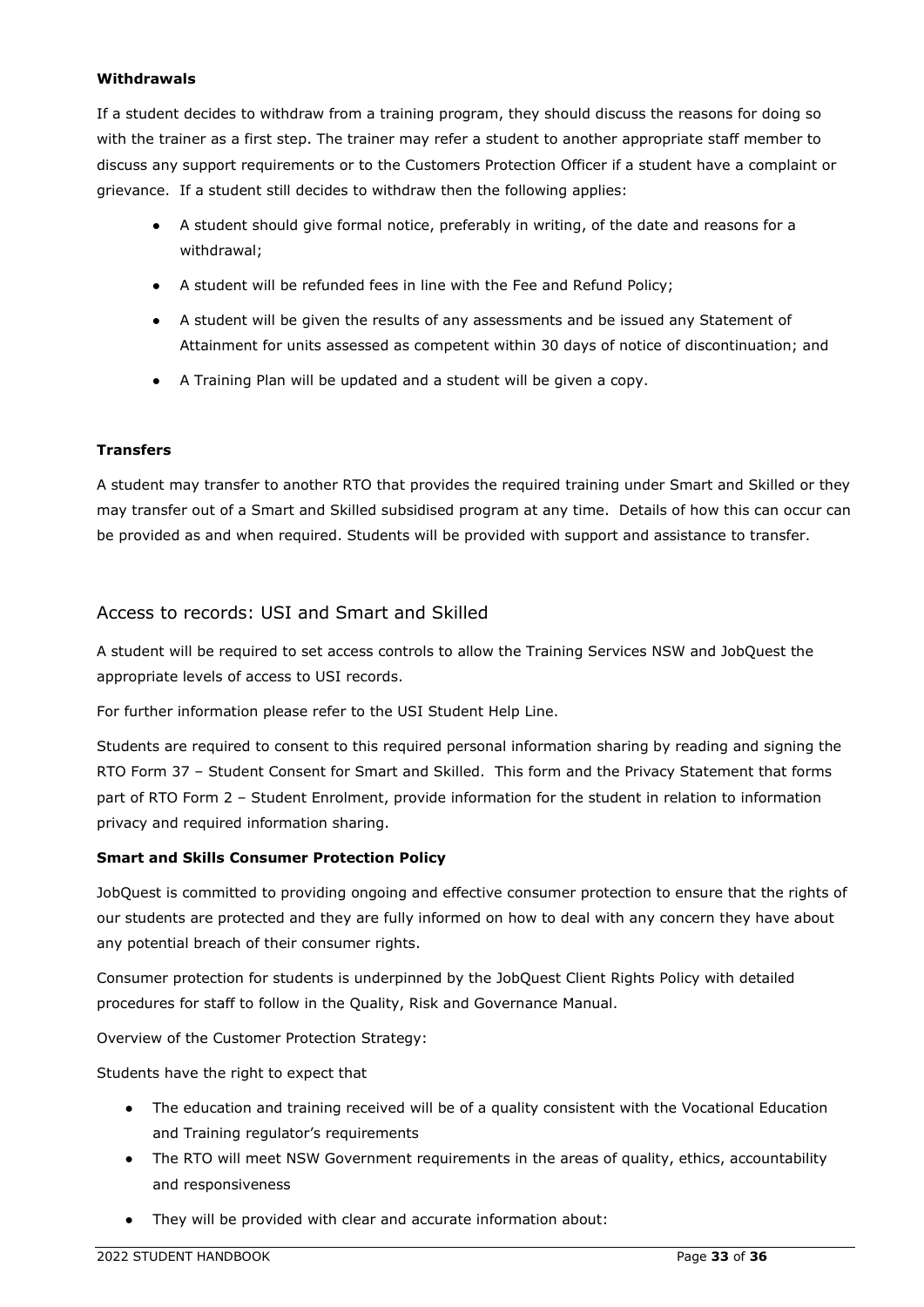#### **Withdrawals**

If a student decides to withdraw from a training program, they should discuss the reasons for doing so with the trainer as a first step. The trainer may refer a student to another appropriate staff member to discuss any support requirements or to the Customers Protection Officer if a student have a complaint or grievance. If a student still decides to withdraw then the following applies:

- A student should give formal notice, preferably in writing, of the date and reasons for a withdrawal;
- A student will be refunded fees in line with the Fee and Refund Policy;
- A student will be given the results of any assessments and be issued any Statement of Attainment for units assessed as competent within 30 days of notice of discontinuation; and
- A Training Plan will be updated and a student will be given a copy.

#### **Transfers**

A student may transfer to another RTO that provides the required training under Smart and Skilled or they may transfer out of a Smart and Skilled subsidised program at any time. Details of how this can occur can be provided as and when required. Students will be provided with support and assistance to transfer.

### <span id="page-36-0"></span>Access to records: USI and Smart and Skilled

A student will be required to set access controls to allow the Training Services NSW and JobQuest the appropriate levels of access to USI records.

For further information please refer to the [USI Student Help Line.](http://www.usi.gov.au/help-centre/student-help/Pages/default.aspx)

Students are required to consent to this required personal information sharing by reading and signing the RTO Form 37 – Student Consent for Smart and Skilled. This form and the Privacy Statement that forms part of RTO Form 2 – Student Enrolment, provide information for the student in relation to information privacy and required information sharing.

#### **Smart and Skills Consumer Protection Policy**

JobQuest is committed to providing ongoing and effective consumer protection to ensure that the rights of our students are protected and they are fully informed on how to deal with any concern they have about any potential breach of their consumer rights.

Consumer protection for students is underpinned by the JobQuest Client Rights Policy with detailed procedures for staff to follow in the Quality, Risk and Governance Manual.

Overview of the Customer Protection Strategy:

Students have the right to expect that

- The education and training received will be of a quality consistent with the Vocational Education and Training regulator's requirements
- The RTO will meet NSW Government requirements in the areas of quality, ethics, accountability and responsiveness
- They will be provided with clear and accurate information about: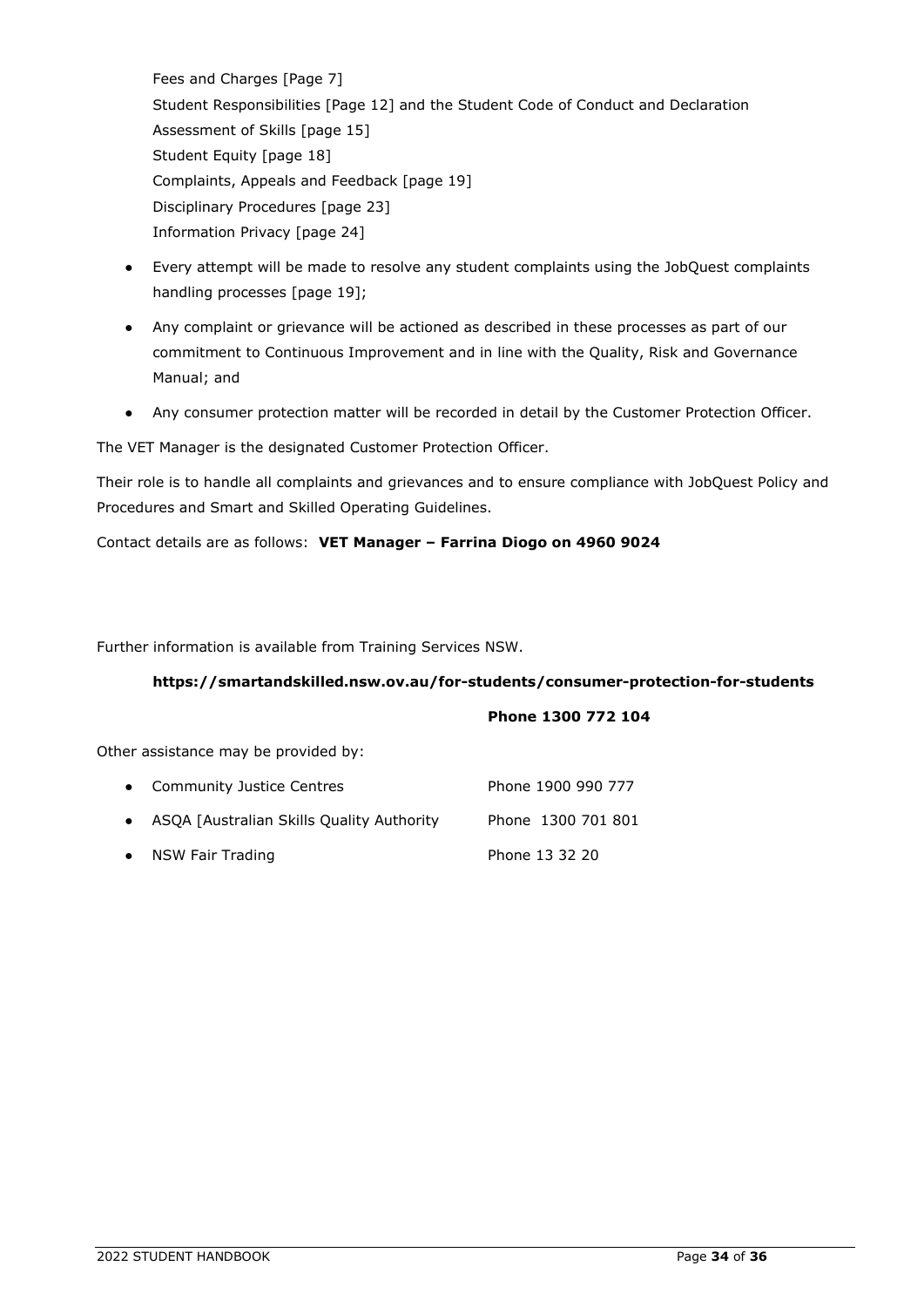Fees and Charges [Page 7] Student Responsibilities [Page 12] and the Student Code of Conduct and Declaration Assessment of Skills [page 15] Student Equity [page 18] Complaints, Appeals and Feedback [page 19] Disciplinary Procedures [page 23] Information Privacy [page 24]

- Every attempt will be made to resolve any student complaints using the JobQuest complaints handling processes [page 19];
- Any complaint or grievance will be actioned as described in these processes as part of our commitment to Continuous Improvement and in line with the Quality, Risk and Governance Manual; and
- Any consumer protection matter will be recorded in detail by the Customer Protection Officer.

The VET Manager is the designated Customer Protection Officer.

Their role is to handle all complaints and grievances and to ensure compliance with JobQuest Policy and Procedures and Smart and Skilled Operating Guidelines.

Contact details are as follows: **VET Manager – Farrina Diogo on 4960 9024**

Further information is available from Training Services NSW.

#### **[https://smartandskilled.nsw.ov.au/for-students/consumer-protection-for-students](https://smartandskilled.nsw.gov.au/for-students/consumer-protection-for-students)**

#### **Phone 1300 772 104**

Other assistance may be provided by:

| • Community Justice Centres                 | Phone 1900 990 777 |
|---------------------------------------------|--------------------|
| • ASQA [Australian Skills Quality Authority | Phone 1300 701 801 |
| • NSW Fair Trading                          | Phone 13 32 20     |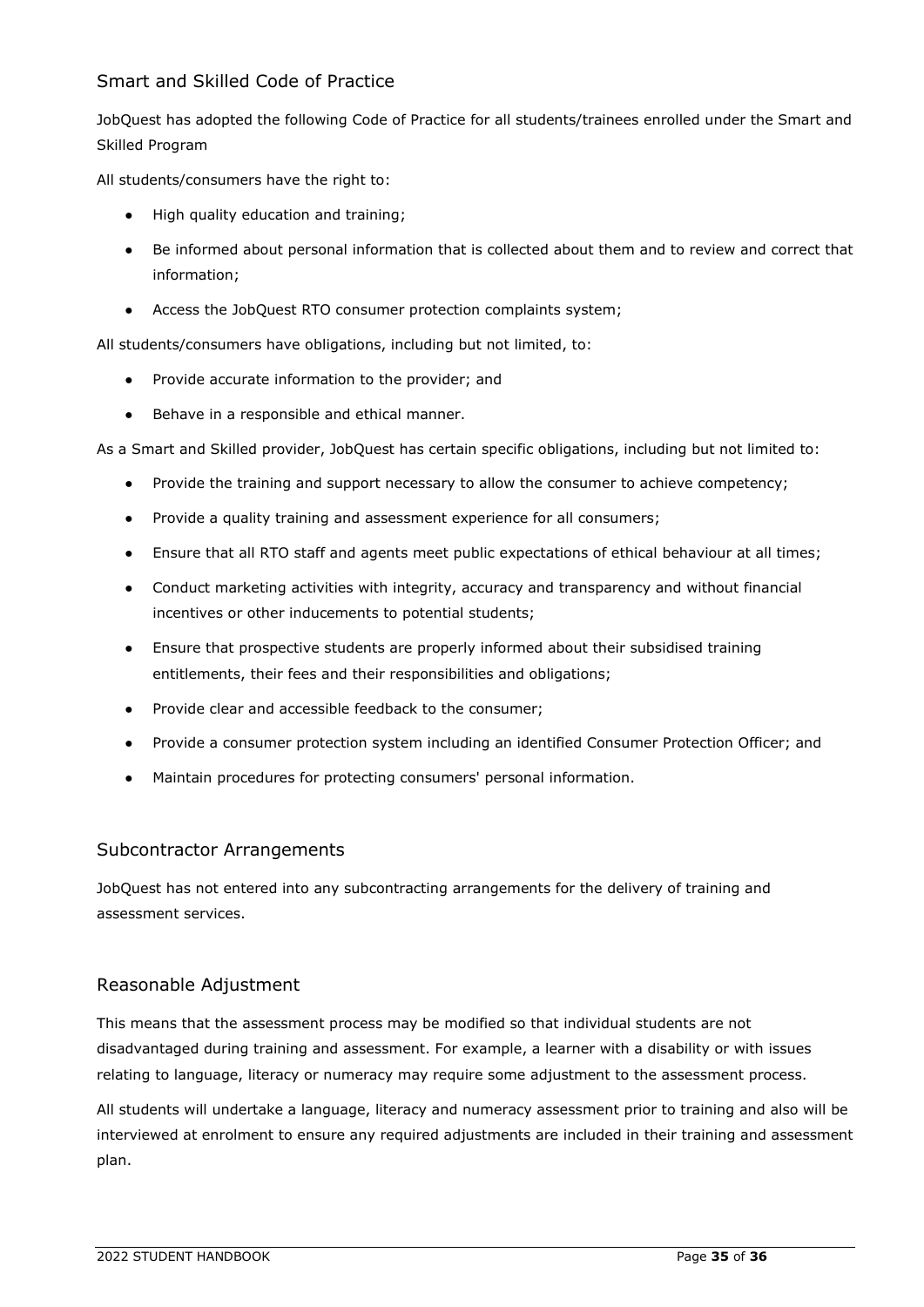# <span id="page-38-0"></span>Smart and Skilled Code of Practice

JobQuest has adopted the following Code of Practice for all students/trainees enrolled under the Smart and Skilled Program

All students/consumers have the right to:

- High quality education and training;
- Be informed about personal information that is collected about them and to review and correct that information;
- Access the JobQuest RTO consumer protection complaints system;

All students/consumers have obligations, including but not limited, to:

- Provide accurate information to the provider; and
- Behave in a responsible and ethical manner.

As a Smart and Skilled provider, JobQuest has certain specific obligations, including but not limited to:

- Provide the training and support necessary to allow the consumer to achieve competency;
- Provide a quality training and assessment experience for all consumers;
- Ensure that all RTO staff and agents meet public expectations of ethical behaviour at all times;
- Conduct marketing activities with integrity, accuracy and transparency and without financial incentives or other inducements to potential students;
- Ensure that prospective students are properly informed about their subsidised training entitlements, their fees and their responsibilities and obligations;
- Provide clear and accessible feedback to the consumer;
- Provide a consumer protection system including an identified Consumer Protection Officer; and
- Maintain procedures for protecting consumers' personal information.

### <span id="page-38-1"></span>Subcontractor Arrangements

JobQuest has not entered into any subcontracting arrangements for the delivery of training and assessment services.

### <span id="page-38-2"></span>Reasonable Adjustment

This means that the assessment process may be modified so that individual students are not disadvantaged during training and assessment. For example, a learner with a disability or with issues relating to language, literacy or numeracy may require some adjustment to the assessment process.

All students will undertake a language, literacy and numeracy assessment prior to training and also will be interviewed at enrolment to ensure any required adjustments are included in their training and assessment plan.